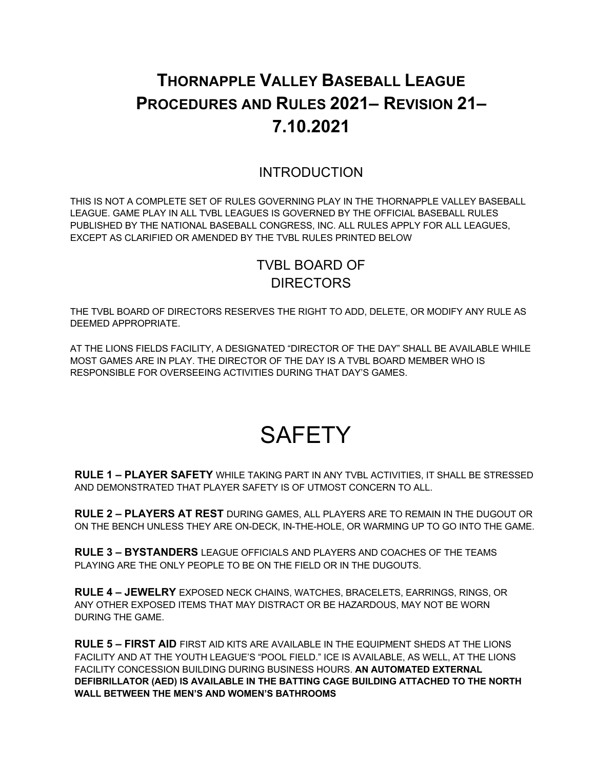# **THORNAPPLE VALLEY BASEBALL LEAGUE PROCEDURES AND RULES 2021– REVISION 21– 7.10.2021**

## INTRODUCTION

THIS IS NOT A COMPLETE SET OF RULES GOVERNING PLAY IN THE THORNAPPLE VALLEY BASEBALL LEAGUE. GAME PLAY IN ALL TVBL LEAGUES IS GOVERNED BY THE OFFICIAL BASEBALL RULES PUBLISHED BY THE NATIONAL BASEBALL CONGRESS, INC. ALL RULES APPLY FOR ALL LEAGUES, EXCEPT AS CLARIFIED OR AMENDED BY THE TVBL RULES PRINTED BELOW

# TVBL BOARD OF **DIRECTORS**

THE TVBL BOARD OF DIRECTORS RESERVES THE RIGHT TO ADD, DELETE, OR MODIFY ANY RULE AS DEEMED APPROPRIATE.

AT THE LIONS FIELDS FACILITY, A DESIGNATED "DIRECTOR OF THE DAY" SHALL BE AVAILABLE WHILE MOST GAMES ARE IN PLAY. THE DIRECTOR OF THE DAY IS A TVBL BOARD MEMBER WHO IS RESPONSIBLE FOR OVERSEEING ACTIVITIES DURING THAT DAY'S GAMES.

# **SAFETY**

**RULE 1 – PLAYER SAFETY** WHILE TAKING PART IN ANY TVBL ACTIVITIES, IT SHALL BE STRESSED AND DEMONSTRATED THAT PLAYER SAFETY IS OF UTMOST CONCERN TO ALL.

**RULE 2 – PLAYERS AT REST** DURING GAMES, ALL PLAYERS ARE TO REMAIN IN THE DUGOUT OR ON THE BENCH UNLESS THEY ARE ON-DECK, IN-THE-HOLE, OR WARMING UP TO GO INTO THE GAME.

**RULE 3 – BYSTANDERS** LEAGUE OFFICIALS AND PLAYERS AND COACHES OF THE TEAMS PLAYING ARE THE ONLY PEOPLE TO BE ON THE FIELD OR IN THE DUGOUTS.

**RULE 4 – JEWELRY** EXPOSED NECK CHAINS, WATCHES, BRACELETS, EARRINGS, RINGS, OR ANY OTHER EXPOSED ITEMS THAT MAY DISTRACT OR BE HAZARDOUS, MAY NOT BE WORN DURING THE GAME.

**RULE 5 – FIRST AID** FIRST AID KITS ARE AVAILABLE IN THE EQUIPMENT SHEDS AT THE LIONS FACILITY AND AT THE YOUTH LEAGUE'S "POOL FIELD." ICE IS AVAILABLE, AS WELL, AT THE LIONS FACILITY CONCESSION BUILDING DURING BUSINESS HOURS. **AN AUTOMATED EXTERNAL DEFIBRILLATOR (AED) IS AVAILABLE IN THE BATTING CAGE BUILDING ATTACHED TO THE NORTH WALL BETWEEN THE MEN'S AND WOMEN'S BATHROOMS**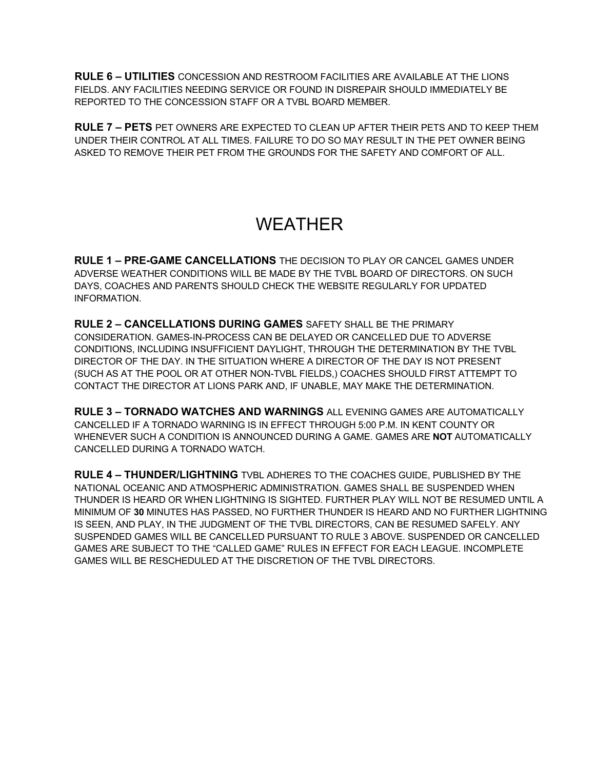**RULE 6 – UTILITIES** CONCESSION AND RESTROOM FACILITIES ARE AVAILABLE AT THE LIONS FIELDS. ANY FACILITIES NEEDING SERVICE OR FOUND IN DISREPAIR SHOULD IMMEDIATELY BE REPORTED TO THE CONCESSION STAFF OR A TVBL BOARD MEMBER.

**RULE 7 – PETS** PET OWNERS ARE EXPECTED TO CLEAN UP AFTER THEIR PETS AND TO KEEP THEM UNDER THEIR CONTROL AT ALL TIMES. FAILURE TO DO SO MAY RESULT IN THE PET OWNER BEING ASKED TO REMOVE THEIR PET FROM THE GROUNDS FOR THE SAFETY AND COMFORT OF ALL.

# WEATHER

**RULE 1 – PRE-GAME CANCELLATIONS** THE DECISION TO PLAY OR CANCEL GAMES UNDER ADVERSE WEATHER CONDITIONS WILL BE MADE BY THE TVBL BOARD OF DIRECTORS. ON SUCH DAYS, COACHES AND PARENTS SHOULD CHECK THE WEBSITE REGULARLY FOR UPDATED INFORMATION.

**RULE 2 – CANCELLATIONS DURING GAMES** SAFETY SHALL BE THE PRIMARY CONSIDERATION. GAMES-IN-PROCESS CAN BE DELAYED OR CANCELLED DUE TO ADVERSE CONDITIONS, INCLUDING INSUFFICIENT DAYLIGHT, THROUGH THE DETERMINATION BY THE TVBL DIRECTOR OF THE DAY. IN THE SITUATION WHERE A DIRECTOR OF THE DAY IS NOT PRESENT (SUCH AS AT THE POOL OR AT OTHER NON-TVBL FIELDS,) COACHES SHOULD FIRST ATTEMPT TO CONTACT THE DIRECTOR AT LIONS PARK AND, IF UNABLE, MAY MAKE THE DETERMINATION.

**RULE 3 – TORNADO WATCHES AND WARNINGS** ALL EVENING GAMES ARE AUTOMATICALLY CANCELLED IF A TORNADO WARNING IS IN EFFECT THROUGH 5:00 P.M. IN KENT COUNTY OR WHENEVER SUCH A CONDITION IS ANNOUNCED DURING A GAME. GAMES ARE **NOT** AUTOMATICALLY CANCELLED DURING A TORNADO WATCH.

**RULE 4 – THUNDER/LIGHTNING** TVBL ADHERES TO THE COACHES GUIDE, PUBLISHED BY THE NATIONAL OCEANIC AND ATMOSPHERIC ADMINISTRATION. GAMES SHALL BE SUSPENDED WHEN THUNDER IS HEARD OR WHEN LIGHTNING IS SIGHTED. FURTHER PLAY WILL NOT BE RESUMED UNTIL A MINIMUM OF **30** MINUTES HAS PASSED, NO FURTHER THUNDER IS HEARD AND NO FURTHER LIGHTNING IS SEEN, AND PLAY, IN THE JUDGMENT OF THE TVBL DIRECTORS, CAN BE RESUMED SAFELY. ANY SUSPENDED GAMES WILL BE CANCELLED PURSUANT TO RULE 3 ABOVE. SUSPENDED OR CANCELLED GAMES ARE SUBJECT TO THE "CALLED GAME" RULES IN EFFECT FOR EACH LEAGUE. INCOMPLETE GAMES WILL BE RESCHEDULED AT THE DISCRETION OF THE TVBL DIRECTORS.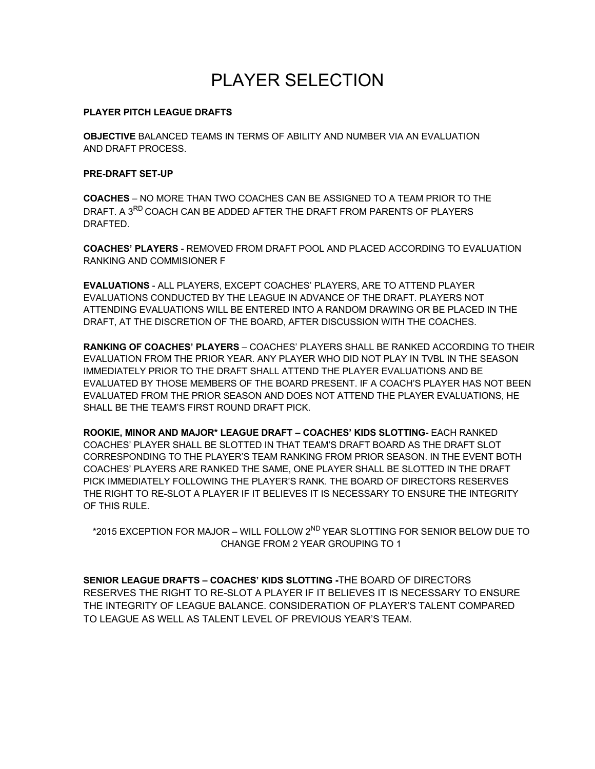# PLAYER SELECTION

#### **PLAYER PITCH LEAGUE DRAFTS**

**OBJECTIVE** BALANCED TEAMS IN TERMS OF ABILITY AND NUMBER VIA AN EVALUATION AND DRAFT PROCESS.

#### **PRE-DRAFT SET-UP**

**COACHES** – NO MORE THAN TWO COACHES CAN BE ASSIGNED TO A TEAM PRIOR TO THE DRAFT. A 3<sup>RD</sup> COACH CAN BE ADDED AFTER THE DRAFT FROM PARENTS OF PLAYERS DRAFTED.

**COACHES' PLAYERS** - REMOVED FROM DRAFT POOL AND PLACED ACCORDING TO EVALUATION RANKING AND COMMISIONER F

**EVALUATIONS** - ALL PLAYERS, EXCEPT COACHES' PLAYERS, ARE TO ATTEND PLAYER EVALUATIONS CONDUCTED BY THE LEAGUE IN ADVANCE OF THE DRAFT. PLAYERS NOT ATTENDING EVALUATIONS WILL BE ENTERED INTO A RANDOM DRAWING OR BE PLACED IN THE DRAFT, AT THE DISCRETION OF THE BOARD, AFTER DISCUSSION WITH THE COACHES.

**RANKING OF COACHES' PLAYERS** – COACHES' PLAYERS SHALL BE RANKED ACCORDING TO THEIR EVALUATION FROM THE PRIOR YEAR. ANY PLAYER WHO DID NOT PLAY IN TVBL IN THE SEASON IMMEDIATELY PRIOR TO THE DRAFT SHALL ATTEND THE PLAYER EVALUATIONS AND BE EVALUATED BY THOSE MEMBERS OF THE BOARD PRESENT. IF A COACH'S PLAYER HAS NOT BEEN EVALUATED FROM THE PRIOR SEASON AND DOES NOT ATTEND THE PLAYER EVALUATIONS, HE SHALL BE THE TEAM'S FIRST ROUND DRAFT PICK.

**ROOKIE, MINOR AND MAJOR\* LEAGUE DRAFT – COACHES' KIDS SLOTTING-** EACH RANKED COACHES' PLAYER SHALL BE SLOTTED IN THAT TEAM'S DRAFT BOARD AS THE DRAFT SLOT CORRESPONDING TO THE PLAYER'S TEAM RANKING FROM PRIOR SEASON. IN THE EVENT BOTH COACHES' PLAYERS ARE RANKED THE SAME, ONE PLAYER SHALL BE SLOTTED IN THE DRAFT PICK IMMEDIATELY FOLLOWING THE PLAYER'S RANK. THE BOARD OF DIRECTORS RESERVES THE RIGHT TO RE-SLOT A PLAYER IF IT BELIEVES IT IS NECESSARY TO ENSURE THE INTEGRITY OF THIS RULE.

\*2015 EXCEPTION FOR MAJOR – WILL FOLLOW 2ND YEAR SLOTTING FOR SENIOR BELOW DUE TO CHANGE FROM 2 YEAR GROUPING TO 1

**SENIOR LEAGUE DRAFTS – COACHES' KIDS SLOTTING -**THE BOARD OF DIRECTORS RESERVES THE RIGHT TO RE-SLOT A PLAYER IF IT BELIEVES IT IS NECESSARY TO ENSURE THE INTEGRITY OF LEAGUE BALANCE. CONSIDERATION OF PLAYER'S TALENT COMPARED TO LEAGUE AS WELL AS TALENT LEVEL OF PREVIOUS YEAR'S TEAM.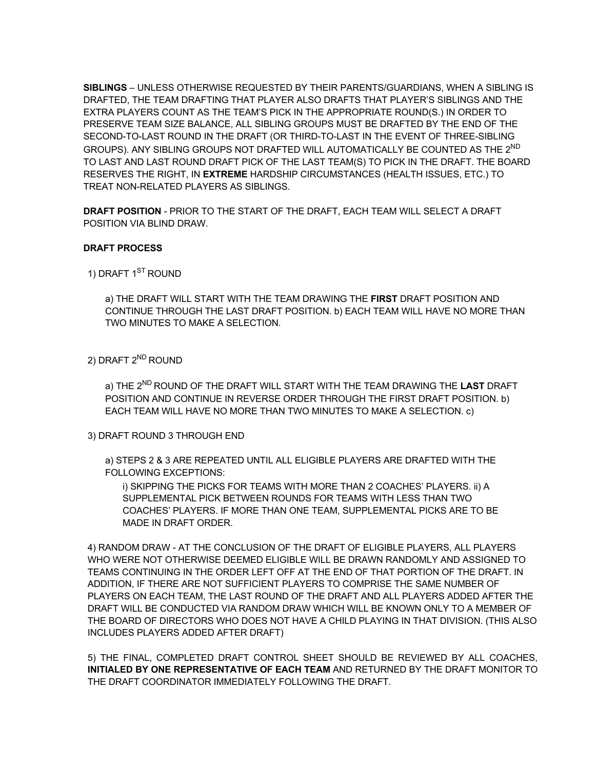**SIBLINGS** – UNLESS OTHERWISE REQUESTED BY THEIR PARENTS/GUARDIANS, WHEN A SIBLING IS DRAFTED, THE TEAM DRAFTING THAT PLAYER ALSO DRAFTS THAT PLAYER'S SIBLINGS AND THE EXTRA PLAYERS COUNT AS THE TEAM'S PICK IN THE APPROPRIATE ROUND(S.) IN ORDER TO PRESERVE TEAM SIZE BALANCE, ALL SIBLING GROUPS MUST BE DRAFTED BY THE END OF THE SECOND-TO-LAST ROUND IN THE DRAFT (OR THIRD-TO-LAST IN THE EVENT OF THREE-SIBLING GROUPS). ANY SIBLING GROUPS NOT DRAFTED WILL AUTOMATICALLY BE COUNTED AS THE 2<sup>ND</sup> TO LAST AND LAST ROUND DRAFT PICK OF THE LAST TEAM(S) TO PICK IN THE DRAFT. THE BOARD RESERVES THE RIGHT, IN **EXTREME** HARDSHIP CIRCUMSTANCES (HEALTH ISSUES, ETC.) TO TREAT NON-RELATED PLAYERS AS SIBLINGS.

**DRAFT POSITION** - PRIOR TO THE START OF THE DRAFT, EACH TEAM WILL SELECT A DRAFT POSITION VIA BLIND DRAW.

#### **DRAFT PROCESS**

1) DRAFT 1<sup>ST</sup> ROUND

a) THE DRAFT WILL START WITH THE TEAM DRAWING THE **FIRST** DRAFT POSITION AND CONTINUE THROUGH THE LAST DRAFT POSITION. b) EACH TEAM WILL HAVE NO MORE THAN TWO MINUTES TO MAKE A SELECTION.

#### 2) DRAFT 2<sup>ND</sup> ROUND

a) THE 2ND ROUND OF THE DRAFT WILL START WITH THE TEAM DRAWING THE **LAST** DRAFT POSITION AND CONTINUE IN REVERSE ORDER THROUGH THE FIRST DRAFT POSITION. b) EACH TEAM WILL HAVE NO MORE THAN TWO MINUTES TO MAKE A SELECTION. c)

#### 3) DRAFT ROUND 3 THROUGH END

a) STEPS 2 & 3 ARE REPEATED UNTIL ALL ELIGIBLE PLAYERS ARE DRAFTED WITH THE FOLLOWING EXCEPTIONS:

i) SKIPPING THE PICKS FOR TEAMS WITH MORE THAN 2 COACHES' PLAYERS. ii) A SUPPLEMENTAL PICK BETWEEN ROUNDS FOR TEAMS WITH LESS THAN TWO COACHES' PLAYERS. IF MORE THAN ONE TEAM, SUPPLEMENTAL PICKS ARE TO BE MADE IN DRAFT ORDER.

4) RANDOM DRAW - AT THE CONCLUSION OF THE DRAFT OF ELIGIBLE PLAYERS, ALL PLAYERS WHO WERE NOT OTHERWISE DEEMED ELIGIBLE WILL BE DRAWN RANDOMLY AND ASSIGNED TO TEAMS CONTINUING IN THE ORDER LEFT OFF AT THE END OF THAT PORTION OF THE DRAFT. IN ADDITION, IF THERE ARE NOT SUFFICIENT PLAYERS TO COMPRISE THE SAME NUMBER OF PLAYERS ON EACH TEAM, THE LAST ROUND OF THE DRAFT AND ALL PLAYERS ADDED AFTER THE DRAFT WILL BE CONDUCTED VIA RANDOM DRAW WHICH WILL BE KNOWN ONLY TO A MEMBER OF THE BOARD OF DIRECTORS WHO DOES NOT HAVE A CHILD PLAYING IN THAT DIVISION. (THIS ALSO INCLUDES PLAYERS ADDED AFTER DRAFT)

5) THE FINAL, COMPLETED DRAFT CONTROL SHEET SHOULD BE REVIEWED BY ALL COACHES, **INITIALED BY ONE REPRESENTATIVE OF EACH TEAM** AND RETURNED BY THE DRAFT MONITOR TO THE DRAFT COORDINATOR IMMEDIATELY FOLLOWING THE DRAFT.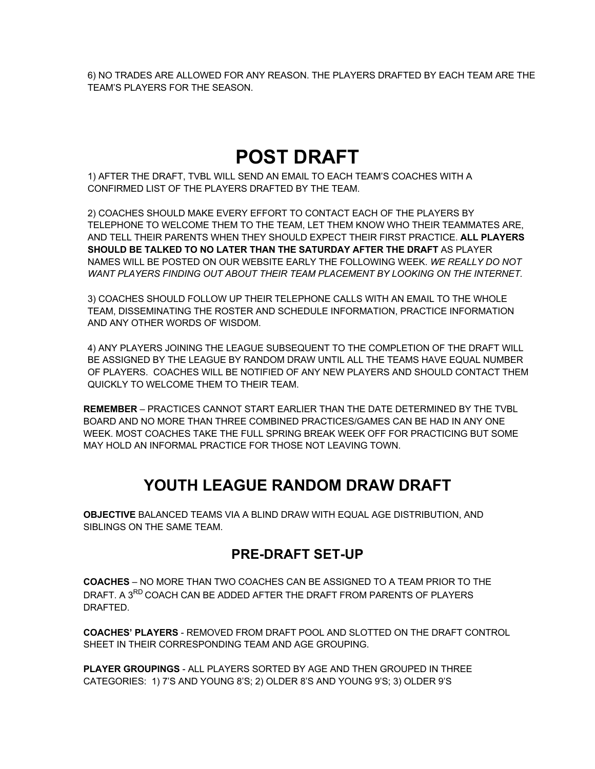6) NO TRADES ARE ALLOWED FOR ANY REASON. THE PLAYERS DRAFTED BY EACH TEAM ARE THE TEAM'S PLAYERS FOR THE SEASON.

# **POST DRAFT**

1) AFTER THE DRAFT, TVBL WILL SEND AN EMAIL TO EACH TEAM'S COACHES WITH A CONFIRMED LIST OF THE PLAYERS DRAFTED BY THE TEAM.

2) COACHES SHOULD MAKE EVERY EFFORT TO CONTACT EACH OF THE PLAYERS BY TELEPHONE TO WELCOME THEM TO THE TEAM, LET THEM KNOW WHO THEIR TEAMMATES ARE, AND TELL THEIR PARENTS WHEN THEY SHOULD EXPECT THEIR FIRST PRACTICE. **ALL PLAYERS SHOULD BE TALKED TO NO LATER THAN THE SATURDAY AFTER THE DRAFT** AS PLAYER NAMES WILL BE POSTED ON OUR WEBSITE EARLY THE FOLLOWING WEEK. *WE REALLY DO NOT WANT PLAYERS FINDING OUT ABOUT THEIR TEAM PLACEMENT BY LOOKING ON THE INTERNET.* 

3) COACHES SHOULD FOLLOW UP THEIR TELEPHONE CALLS WITH AN EMAIL TO THE WHOLE TEAM, DISSEMINATING THE ROSTER AND SCHEDULE INFORMATION, PRACTICE INFORMATION AND ANY OTHER WORDS OF WISDOM.

4) ANY PLAYERS JOINING THE LEAGUE SUBSEQUENT TO THE COMPLETION OF THE DRAFT WILL BE ASSIGNED BY THE LEAGUE BY RANDOM DRAW UNTIL ALL THE TEAMS HAVE EQUAL NUMBER OF PLAYERS. COACHES WILL BE NOTIFIED OF ANY NEW PLAYERS AND SHOULD CONTACT THEM QUICKLY TO WELCOME THEM TO THEIR TEAM.

**REMEMBER** – PRACTICES CANNOT START EARLIER THAN THE DATE DETERMINED BY THE TVBL BOARD AND NO MORE THAN THREE COMBINED PRACTICES/GAMES CAN BE HAD IN ANY ONE WEEK. MOST COACHES TAKE THE FULL SPRING BREAK WEEK OFF FOR PRACTICING BUT SOME MAY HOLD AN INFORMAL PRACTICE FOR THOSE NOT LEAVING TOWN.

# **YOUTH LEAGUE RANDOM DRAW DRAFT**

**OBJECTIVE** BALANCED TEAMS VIA A BLIND DRAW WITH EQUAL AGE DISTRIBUTION, AND SIBLINGS ON THE SAME TEAM.

## **PRE-DRAFT SET-UP**

**COACHES** – NO MORE THAN TWO COACHES CAN BE ASSIGNED TO A TEAM PRIOR TO THE DRAFT. A 3RD COACH CAN BE ADDED AFTER THE DRAFT FROM PARENTS OF PLAYERS DRAFTED.

**COACHES' PLAYERS** - REMOVED FROM DRAFT POOL AND SLOTTED ON THE DRAFT CONTROL SHEET IN THEIR CORRESPONDING TEAM AND AGE GROUPING.

**PLAYER GROUPINGS** - ALL PLAYERS SORTED BY AGE AND THEN GROUPED IN THREE CATEGORIES: 1) 7'S AND YOUNG 8'S; 2) OLDER 8'S AND YOUNG 9'S; 3) OLDER 9'S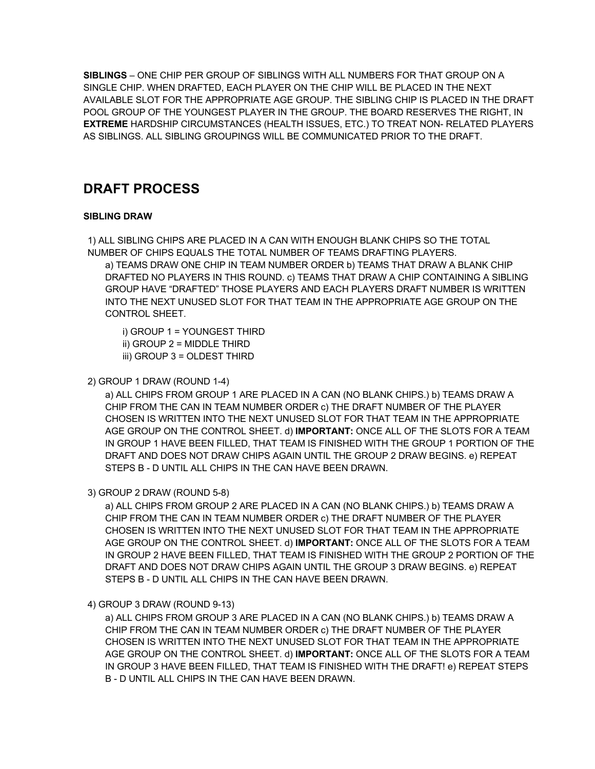**SIBLINGS** – ONE CHIP PER GROUP OF SIBLINGS WITH ALL NUMBERS FOR THAT GROUP ON A SINGLE CHIP. WHEN DRAFTED, EACH PLAYER ON THE CHIP WILL BE PLACED IN THE NEXT AVAILABLE SLOT FOR THE APPROPRIATE AGE GROUP. THE SIBLING CHIP IS PLACED IN THE DRAFT POOL GROUP OF THE YOUNGEST PLAYER IN THE GROUP. THE BOARD RESERVES THE RIGHT, IN **EXTREME** HARDSHIP CIRCUMSTANCES (HEALTH ISSUES, ETC.) TO TREAT NON- RELATED PLAYERS AS SIBLINGS. ALL SIBLING GROUPINGS WILL BE COMMUNICATED PRIOR TO THE DRAFT.

# **DRAFT PROCESS**

#### **SIBLING DRAW**

1) ALL SIBLING CHIPS ARE PLACED IN A CAN WITH ENOUGH BLANK CHIPS SO THE TOTAL NUMBER OF CHIPS EQUALS THE TOTAL NUMBER OF TEAMS DRAFTING PLAYERS.

a) TEAMS DRAW ONE CHIP IN TEAM NUMBER ORDER b) TEAMS THAT DRAW A BLANK CHIP DRAFTED NO PLAYERS IN THIS ROUND. c) TEAMS THAT DRAW A CHIP CONTAINING A SIBLING GROUP HAVE "DRAFTED" THOSE PLAYERS AND EACH PLAYERS DRAFT NUMBER IS WRITTEN INTO THE NEXT UNUSED SLOT FOR THAT TEAM IN THE APPROPRIATE AGE GROUP ON THE CONTROL SHEET.

- i) GROUP 1 = YOUNGEST THIRD
- ii) GROUP 2 = MIDDLE THIRD
- iii) GROUP 3 = OLDEST THIRD
- 2) GROUP 1 DRAW (ROUND 1-4)

a) ALL CHIPS FROM GROUP 1 ARE PLACED IN A CAN (NO BLANK CHIPS.) b) TEAMS DRAW A CHIP FROM THE CAN IN TEAM NUMBER ORDER c) THE DRAFT NUMBER OF THE PLAYER CHOSEN IS WRITTEN INTO THE NEXT UNUSED SLOT FOR THAT TEAM IN THE APPROPRIATE AGE GROUP ON THE CONTROL SHEET. d) **IMPORTANT:** ONCE ALL OF THE SLOTS FOR A TEAM IN GROUP 1 HAVE BEEN FILLED, THAT TEAM IS FINISHED WITH THE GROUP 1 PORTION OF THE DRAFT AND DOES NOT DRAW CHIPS AGAIN UNTIL THE GROUP 2 DRAW BEGINS. e) REPEAT STEPS B - D UNTIL ALL CHIPS IN THE CAN HAVE BEEN DRAWN.

3) GROUP 2 DRAW (ROUND 5-8)

a) ALL CHIPS FROM GROUP 2 ARE PLACED IN A CAN (NO BLANK CHIPS.) b) TEAMS DRAW A CHIP FROM THE CAN IN TEAM NUMBER ORDER c) THE DRAFT NUMBER OF THE PLAYER CHOSEN IS WRITTEN INTO THE NEXT UNUSED SLOT FOR THAT TEAM IN THE APPROPRIATE AGE GROUP ON THE CONTROL SHEET. d) **IMPORTANT:** ONCE ALL OF THE SLOTS FOR A TEAM IN GROUP 2 HAVE BEEN FILLED, THAT TEAM IS FINISHED WITH THE GROUP 2 PORTION OF THE DRAFT AND DOES NOT DRAW CHIPS AGAIN UNTIL THE GROUP 3 DRAW BEGINS. e) REPEAT STEPS B - D UNTIL ALL CHIPS IN THE CAN HAVE BEEN DRAWN.

4) GROUP 3 DRAW (ROUND 9-13)

a) ALL CHIPS FROM GROUP 3 ARE PLACED IN A CAN (NO BLANK CHIPS.) b) TEAMS DRAW A CHIP FROM THE CAN IN TEAM NUMBER ORDER c) THE DRAFT NUMBER OF THE PLAYER CHOSEN IS WRITTEN INTO THE NEXT UNUSED SLOT FOR THAT TEAM IN THE APPROPRIATE AGE GROUP ON THE CONTROL SHEET. d) **IMPORTANT:** ONCE ALL OF THE SLOTS FOR A TEAM IN GROUP 3 HAVE BEEN FILLED, THAT TEAM IS FINISHED WITH THE DRAFT! e) REPEAT STEPS B - D UNTIL ALL CHIPS IN THE CAN HAVE BEEN DRAWN.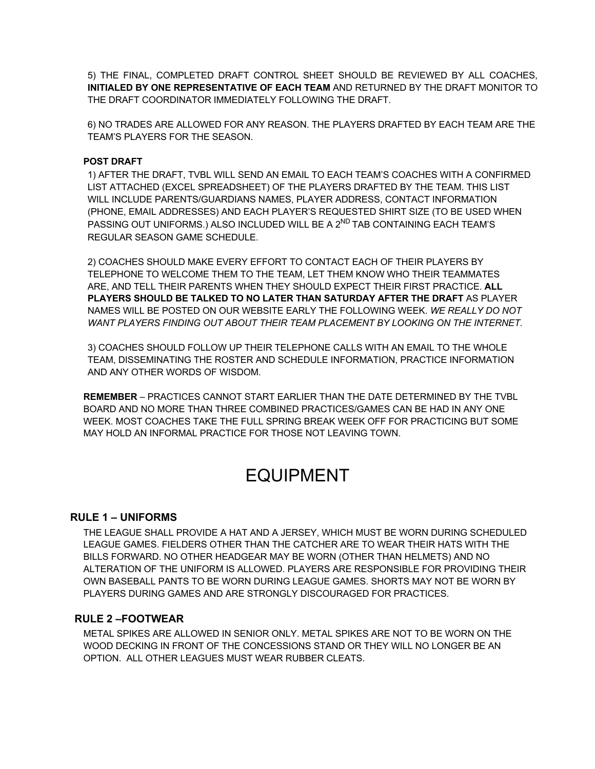5) THE FINAL, COMPLETED DRAFT CONTROL SHEET SHOULD BE REVIEWED BY ALL COACHES, **INITIALED BY ONE REPRESENTATIVE OF EACH TEAM** AND RETURNED BY THE DRAFT MONITOR TO THE DRAFT COORDINATOR IMMEDIATELY FOLLOWING THE DRAFT.

6) NO TRADES ARE ALLOWED FOR ANY REASON. THE PLAYERS DRAFTED BY EACH TEAM ARE THE TEAM'S PLAYERS FOR THE SEASON.

#### **POST DRAFT**

1) AFTER THE DRAFT, TVBL WILL SEND AN EMAIL TO EACH TEAM'S COACHES WITH A CONFIRMED LIST ATTACHED (EXCEL SPREADSHEET) OF THE PLAYERS DRAFTED BY THE TEAM. THIS LIST WILL INCLUDE PARENTS/GUARDIANS NAMES, PLAYER ADDRESS, CONTACT INFORMATION (PHONE, EMAIL ADDRESSES) AND EACH PLAYER'S REQUESTED SHIRT SIZE (TO BE USED WHEN PASSING OUT UNIFORMS.) ALSO INCLUDED WILL BE A 2<sup>ND</sup> TAB CONTAINING EACH TEAM'S REGULAR SEASON GAME SCHEDULE.

2) COACHES SHOULD MAKE EVERY EFFORT TO CONTACT EACH OF THEIR PLAYERS BY TELEPHONE TO WELCOME THEM TO THE TEAM, LET THEM KNOW WHO THEIR TEAMMATES ARE, AND TELL THEIR PARENTS WHEN THEY SHOULD EXPECT THEIR FIRST PRACTICE. **ALL PLAYERS SHOULD BE TALKED TO NO LATER THAN SATURDAY AFTER THE DRAFT** AS PLAYER NAMES WILL BE POSTED ON OUR WEBSITE EARLY THE FOLLOWING WEEK. *WE REALLY DO NOT WANT PLAYERS FINDING OUT ABOUT THEIR TEAM PLACEMENT BY LOOKING ON THE INTERNET.* 

3) COACHES SHOULD FOLLOW UP THEIR TELEPHONE CALLS WITH AN EMAIL TO THE WHOLE TEAM, DISSEMINATING THE ROSTER AND SCHEDULE INFORMATION, PRACTICE INFORMATION AND ANY OTHER WORDS OF WISDOM.

**REMEMBER** – PRACTICES CANNOT START EARLIER THAN THE DATE DETERMINED BY THE TVBL BOARD AND NO MORE THAN THREE COMBINED PRACTICES/GAMES CAN BE HAD IN ANY ONE WEEK. MOST COACHES TAKE THE FULL SPRING BREAK WEEK OFF FOR PRACTICING BUT SOME MAY HOLD AN INFORMAL PRACTICE FOR THOSE NOT LEAVING TOWN.

# EQUIPMENT

#### **RULE 1 – UNIFORMS**

THE LEAGUE SHALL PROVIDE A HAT AND A JERSEY, WHICH MUST BE WORN DURING SCHEDULED LEAGUE GAMES. FIELDERS OTHER THAN THE CATCHER ARE TO WEAR THEIR HATS WITH THE BILLS FORWARD. NO OTHER HEADGEAR MAY BE WORN (OTHER THAN HELMETS) AND NO ALTERATION OF THE UNIFORM IS ALLOWED. PLAYERS ARE RESPONSIBLE FOR PROVIDING THEIR OWN BASEBALL PANTS TO BE WORN DURING LEAGUE GAMES. SHORTS MAY NOT BE WORN BY PLAYERS DURING GAMES AND ARE STRONGLY DISCOURAGED FOR PRACTICES.

#### **RULE 2 –FOOTWEAR**

METAL SPIKES ARE ALLOWED IN SENIOR ONLY. METAL SPIKES ARE NOT TO BE WORN ON THE WOOD DECKING IN FRONT OF THE CONCESSIONS STAND OR THEY WILL NO LONGER BE AN OPTION. ALL OTHER LEAGUES MUST WEAR RUBBER CLEATS.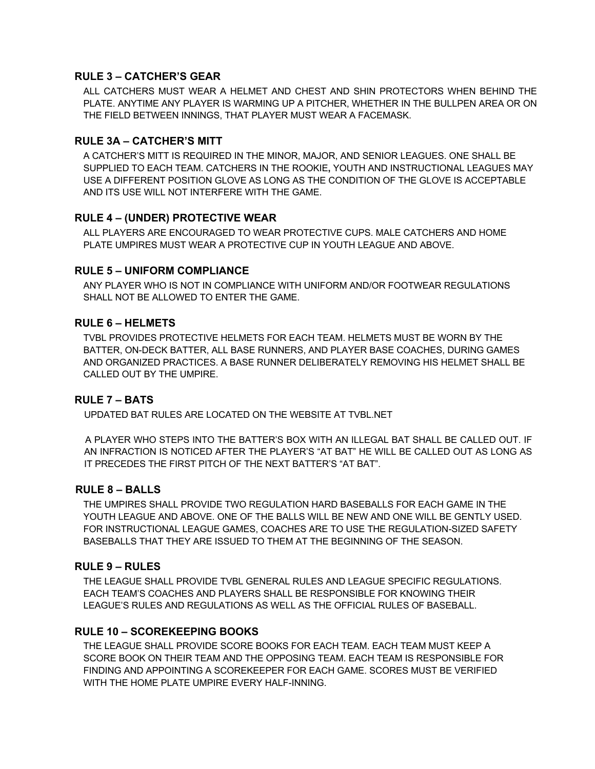#### **RULE 3 – CATCHER'S GEAR**

ALL CATCHERS MUST WEAR A HELMET AND CHEST AND SHIN PROTECTORS WHEN BEHIND THE PLATE. ANYTIME ANY PLAYER IS WARMING UP A PITCHER, WHETHER IN THE BULLPEN AREA OR ON THE FIELD BETWEEN INNINGS, THAT PLAYER MUST WEAR A FACEMASK.

#### **RULE 3A – CATCHER'S MITT**

A CATCHER'S MITT IS REQUIRED IN THE MINOR, MAJOR, AND SENIOR LEAGUES. ONE SHALL BE SUPPLIED TO EACH TEAM. CATCHERS IN THE ROOKIE**,** YOUTH AND INSTRUCTIONAL LEAGUES MAY USE A DIFFERENT POSITION GLOVE AS LONG AS THE CONDITION OF THE GLOVE IS ACCEPTABLE AND ITS USE WILL NOT INTERFERE WITH THE GAME.

#### **RULE 4 – (UNDER) PROTECTIVE WEAR**

ALL PLAYERS ARE ENCOURAGED TO WEAR PROTECTIVE CUPS. MALE CATCHERS AND HOME PLATE UMPIRES MUST WEAR A PROTECTIVE CUP IN YOUTH LEAGUE AND ABOVE.

#### **RULE 5 – UNIFORM COMPLIANCE**

ANY PLAYER WHO IS NOT IN COMPLIANCE WITH UNIFORM AND/OR FOOTWEAR REGULATIONS SHALL NOT BE ALLOWED TO ENTER THE GAME.

#### **RULE 6 – HELMETS**

TVBL PROVIDES PROTECTIVE HELMETS FOR EACH TEAM. HELMETS MUST BE WORN BY THE BATTER, ON-DECK BATTER, ALL BASE RUNNERS, AND PLAYER BASE COACHES, DURING GAMES AND ORGANIZED PRACTICES. A BASE RUNNER DELIBERATELY REMOVING HIS HELMET SHALL BE CALLED OUT BY THE UMPIRE.

#### **RULE 7 – BATS**

UPDATED BAT RULES ARE LOCATED ON THE WEBSITE AT TVBL.NET

A PLAYER WHO STEPS INTO THE BATTER'S BOX WITH AN ILLEGAL BAT SHALL BE CALLED OUT. IF AN INFRACTION IS NOTICED AFTER THE PLAYER'S "AT BAT" HE WILL BE CALLED OUT AS LONG AS IT PRECEDES THE FIRST PITCH OF THE NEXT BATTER'S "AT BAT".

#### **RULE 8 – BALLS**

THE UMPIRES SHALL PROVIDE TWO REGULATION HARD BASEBALLS FOR EACH GAME IN THE YOUTH LEAGUE AND ABOVE. ONE OF THE BALLS WILL BE NEW AND ONE WILL BE GENTLY USED. FOR INSTRUCTIONAL LEAGUE GAMES, COACHES ARE TO USE THE REGULATION-SIZED SAFETY BASEBALLS THAT THEY ARE ISSUED TO THEM AT THE BEGINNING OF THE SEASON.

#### **RULE 9 – RULES**

THE LEAGUE SHALL PROVIDE TVBL GENERAL RULES AND LEAGUE SPECIFIC REGULATIONS. EACH TEAM'S COACHES AND PLAYERS SHALL BE RESPONSIBLE FOR KNOWING THEIR LEAGUE'S RULES AND REGULATIONS AS WELL AS THE OFFICIAL RULES OF BASEBALL.

#### **RULE 10 – SCOREKEEPING BOOKS**

THE LEAGUE SHALL PROVIDE SCORE BOOKS FOR EACH TEAM. EACH TEAM MUST KEEP A SCORE BOOK ON THEIR TEAM AND THE OPPOSING TEAM. EACH TEAM IS RESPONSIBLE FOR FINDING AND APPOINTING A SCOREKEEPER FOR EACH GAME. SCORES MUST BE VERIFIED WITH THE HOME PLATE UMPIRE EVERY HALF-INNING.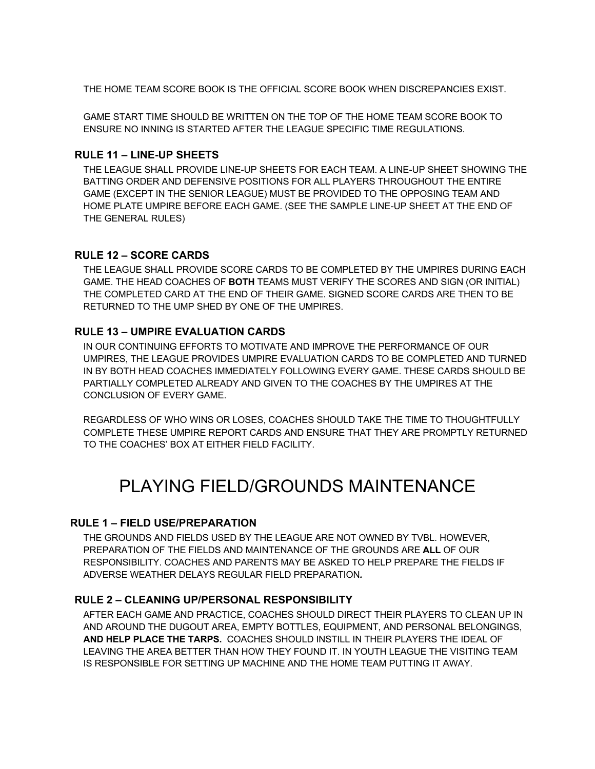THE HOME TEAM SCORE BOOK IS THE OFFICIAL SCORE BOOK WHEN DISCREPANCIES EXIST.

GAME START TIME SHOULD BE WRITTEN ON THE TOP OF THE HOME TEAM SCORE BOOK TO ENSURE NO INNING IS STARTED AFTER THE LEAGUE SPECIFIC TIME REGULATIONS.

#### **RULE 11 – LINE-UP SHEETS**

THE LEAGUE SHALL PROVIDE LINE-UP SHEETS FOR EACH TEAM. A LINE-UP SHEET SHOWING THE BATTING ORDER AND DEFENSIVE POSITIONS FOR ALL PLAYERS THROUGHOUT THE ENTIRE GAME (EXCEPT IN THE SENIOR LEAGUE) MUST BE PROVIDED TO THE OPPOSING TEAM AND HOME PLATE UMPIRE BEFORE EACH GAME. (SEE THE SAMPLE LINE-UP SHEET AT THE END OF THE GENERAL RULES)

#### **RULE 12 – SCORE CARDS**

THE LEAGUE SHALL PROVIDE SCORE CARDS TO BE COMPLETED BY THE UMPIRES DURING EACH GAME. THE HEAD COACHES OF **BOTH** TEAMS MUST VERIFY THE SCORES AND SIGN (OR INITIAL) THE COMPLETED CARD AT THE END OF THEIR GAME. SIGNED SCORE CARDS ARE THEN TO BE RETURNED TO THE UMP SHED BY ONE OF THE UMPIRES.

#### **RULE 13 – UMPIRE EVALUATION CARDS**

IN OUR CONTINUING EFFORTS TO MOTIVATE AND IMPROVE THE PERFORMANCE OF OUR UMPIRES, THE LEAGUE PROVIDES UMPIRE EVALUATION CARDS TO BE COMPLETED AND TURNED IN BY BOTH HEAD COACHES IMMEDIATELY FOLLOWING EVERY GAME. THESE CARDS SHOULD BE PARTIALLY COMPLETED ALREADY AND GIVEN TO THE COACHES BY THE UMPIRES AT THE CONCLUSION OF EVERY GAME.

REGARDLESS OF WHO WINS OR LOSES, COACHES SHOULD TAKE THE TIME TO THOUGHTFULLY COMPLETE THESE UMPIRE REPORT CARDS AND ENSURE THAT THEY ARE PROMPTLY RETURNED TO THE COACHES' BOX AT EITHER FIELD FACILITY.

# PLAYING FIELD/GROUNDS MAINTENANCE

#### **RULE 1 – FIELD USE/PREPARATION**

THE GROUNDS AND FIELDS USED BY THE LEAGUE ARE NOT OWNED BY TVBL. HOWEVER, PREPARATION OF THE FIELDS AND MAINTENANCE OF THE GROUNDS ARE **ALL** OF OUR RESPONSIBILITY. COACHES AND PARENTS MAY BE ASKED TO HELP PREPARE THE FIELDS IF ADVERSE WEATHER DELAYS REGULAR FIELD PREPARATION*.* 

#### **RULE 2 – CLEANING UP/PERSONAL RESPONSIBILITY**

AFTER EACH GAME AND PRACTICE, COACHES SHOULD DIRECT THEIR PLAYERS TO CLEAN UP IN AND AROUND THE DUGOUT AREA, EMPTY BOTTLES, EQUIPMENT, AND PERSONAL BELONGINGS, **AND HELP PLACE THE TARPS.** COACHES SHOULD INSTILL IN THEIR PLAYERS THE IDEAL OF LEAVING THE AREA BETTER THAN HOW THEY FOUND IT. IN YOUTH LEAGUE THE VISITING TEAM IS RESPONSIBLE FOR SETTING UP MACHINE AND THE HOME TEAM PUTTING IT AWAY.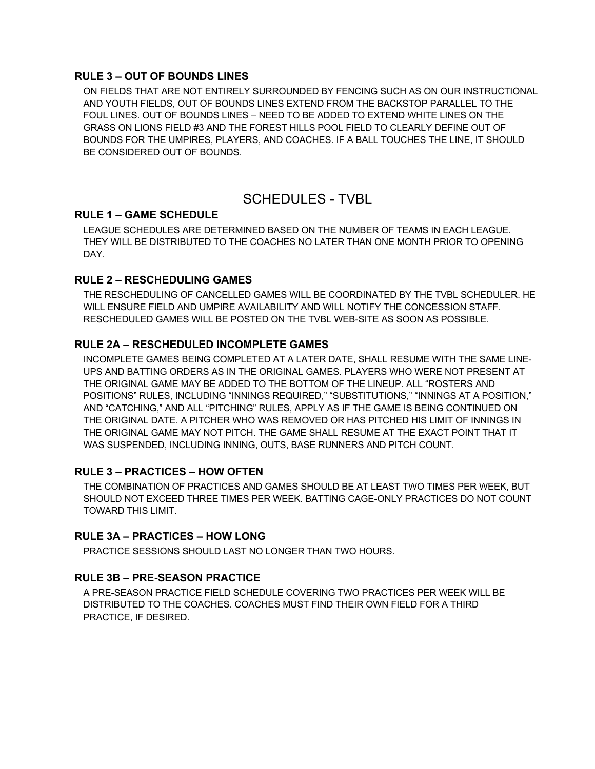#### **RULE 3 – OUT OF BOUNDS LINES**

ON FIELDS THAT ARE NOT ENTIRELY SURROUNDED BY FENCING SUCH AS ON OUR INSTRUCTIONAL AND YOUTH FIELDS, OUT OF BOUNDS LINES EXTEND FROM THE BACKSTOP PARALLEL TO THE FOUL LINES. OUT OF BOUNDS LINES – NEED TO BE ADDED TO EXTEND WHITE LINES ON THE GRASS ON LIONS FIELD #3 AND THE FOREST HILLS POOL FIELD TO CLEARLY DEFINE OUT OF BOUNDS FOR THE UMPIRES, PLAYERS, AND COACHES. IF A BALL TOUCHES THE LINE, IT SHOULD BE CONSIDERED OUT OF BOUNDS.

## SCHEDULES - TVBL

#### **RULE 1 – GAME SCHEDULE**

LEAGUE SCHEDULES ARE DETERMINED BASED ON THE NUMBER OF TEAMS IN EACH LEAGUE. THEY WILL BE DISTRIBUTED TO THE COACHES NO LATER THAN ONE MONTH PRIOR TO OPENING DAY.

#### **RULE 2 – RESCHEDULING GAMES**

THE RESCHEDULING OF CANCELLED GAMES WILL BE COORDINATED BY THE TVBL SCHEDULER. HE WILL ENSURE FIELD AND UMPIRE AVAILABILITY AND WILL NOTIFY THE CONCESSION STAFF. RESCHEDULED GAMES WILL BE POSTED ON THE TVBL WEB-SITE AS SOON AS POSSIBLE.

#### **RULE 2A – RESCHEDULED INCOMPLETE GAMES**

INCOMPLETE GAMES BEING COMPLETED AT A LATER DATE, SHALL RESUME WITH THE SAME LINE-UPS AND BATTING ORDERS AS IN THE ORIGINAL GAMES. PLAYERS WHO WERE NOT PRESENT AT THE ORIGINAL GAME MAY BE ADDED TO THE BOTTOM OF THE LINEUP. ALL "ROSTERS AND POSITIONS" RULES, INCLUDING "INNINGS REQUIRED," "SUBSTITUTIONS," "INNINGS AT A POSITION," AND "CATCHING," AND ALL "PITCHING" RULES, APPLY AS IF THE GAME IS BEING CONTINUED ON THE ORIGINAL DATE. A PITCHER WHO WAS REMOVED OR HAS PITCHED HIS LIMIT OF INNINGS IN THE ORIGINAL GAME MAY NOT PITCH. THE GAME SHALL RESUME AT THE EXACT POINT THAT IT WAS SUSPENDED, INCLUDING INNING, OUTS, BASE RUNNERS AND PITCH COUNT.

#### **RULE 3 – PRACTICES – HOW OFTEN**

THE COMBINATION OF PRACTICES AND GAMES SHOULD BE AT LEAST TWO TIMES PER WEEK, BUT SHOULD NOT EXCEED THREE TIMES PER WEEK. BATTING CAGE-ONLY PRACTICES DO NOT COUNT TOWARD THIS LIMIT.

#### **RULE 3A – PRACTICES – HOW LONG**

PRACTICE SESSIONS SHOULD LAST NO LONGER THAN TWO HOURS.

#### **RULE 3B – PRE-SEASON PRACTICE**

A PRE-SEASON PRACTICE FIELD SCHEDULE COVERING TWO PRACTICES PER WEEK WILL BE DISTRIBUTED TO THE COACHES. COACHES MUST FIND THEIR OWN FIELD FOR A THIRD PRACTICE, IF DESIRED.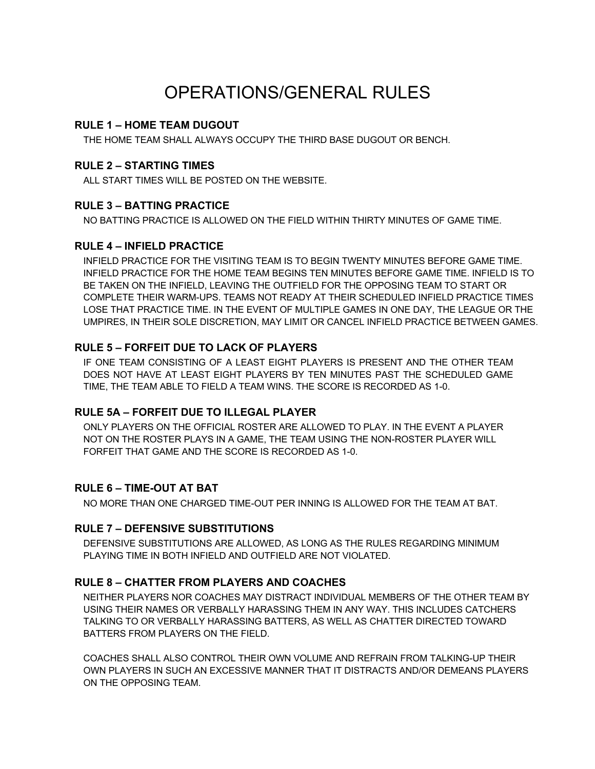# OPERATIONS/GENERAL RULES

#### **RULE 1 – HOME TEAM DUGOUT**

THE HOME TEAM SHALL ALWAYS OCCUPY THE THIRD BASE DUGOUT OR BENCH.

#### **RULE 2 – STARTING TIMES**

ALL START TIMES WILL BE POSTED ON THE WEBSITE.

#### **RULE 3 – BATTING PRACTICE**

NO BATTING PRACTICE IS ALLOWED ON THE FIELD WITHIN THIRTY MINUTES OF GAME TIME.

#### **RULE 4 – INFIELD PRACTICE**

INFIELD PRACTICE FOR THE VISITING TEAM IS TO BEGIN TWENTY MINUTES BEFORE GAME TIME. INFIELD PRACTICE FOR THE HOME TEAM BEGINS TEN MINUTES BEFORE GAME TIME. INFIELD IS TO BE TAKEN ON THE INFIELD, LEAVING THE OUTFIELD FOR THE OPPOSING TEAM TO START OR COMPLETE THEIR WARM-UPS. TEAMS NOT READY AT THEIR SCHEDULED INFIELD PRACTICE TIMES LOSE THAT PRACTICE TIME. IN THE EVENT OF MULTIPLE GAMES IN ONE DAY, THE LEAGUE OR THE UMPIRES, IN THEIR SOLE DISCRETION, MAY LIMIT OR CANCEL INFIELD PRACTICE BETWEEN GAMES.

#### **RULE 5 – FORFEIT DUE TO LACK OF PLAYERS**

IF ONE TEAM CONSISTING OF A LEAST EIGHT PLAYERS IS PRESENT AND THE OTHER TEAM DOES NOT HAVE AT LEAST EIGHT PLAYERS BY TEN MINUTES PAST THE SCHEDULED GAME TIME, THE TEAM ABLE TO FIELD A TEAM WINS. THE SCORE IS RECORDED AS 1-0.

#### **RULE 5A – FORFEIT DUE TO ILLEGAL PLAYER**

ONLY PLAYERS ON THE OFFICIAL ROSTER ARE ALLOWED TO PLAY. IN THE EVENT A PLAYER NOT ON THE ROSTER PLAYS IN A GAME, THE TEAM USING THE NON-ROSTER PLAYER WILL FORFEIT THAT GAME AND THE SCORE IS RECORDED AS 1-0.

#### **RULE 6 – TIME-OUT AT BAT**

NO MORE THAN ONE CHARGED TIME-OUT PER INNING IS ALLOWED FOR THE TEAM AT BAT.

#### **RULE 7 – DEFENSIVE SUBSTITUTIONS**

DEFENSIVE SUBSTITUTIONS ARE ALLOWED, AS LONG AS THE RULES REGARDING MINIMUM PLAYING TIME IN BOTH INFIELD AND OUTFIELD ARE NOT VIOLATED.

#### **RULE 8 – CHATTER FROM PLAYERS AND COACHES**

NEITHER PLAYERS NOR COACHES MAY DISTRACT INDIVIDUAL MEMBERS OF THE OTHER TEAM BY USING THEIR NAMES OR VERBALLY HARASSING THEM IN ANY WAY. THIS INCLUDES CATCHERS TALKING TO OR VERBALLY HARASSING BATTERS, AS WELL AS CHATTER DIRECTED TOWARD BATTERS FROM PLAYERS ON THE FIELD.

COACHES SHALL ALSO CONTROL THEIR OWN VOLUME AND REFRAIN FROM TALKING-UP THEIR OWN PLAYERS IN SUCH AN EXCESSIVE MANNER THAT IT DISTRACTS AND/OR DEMEANS PLAYERS ON THE OPPOSING TEAM.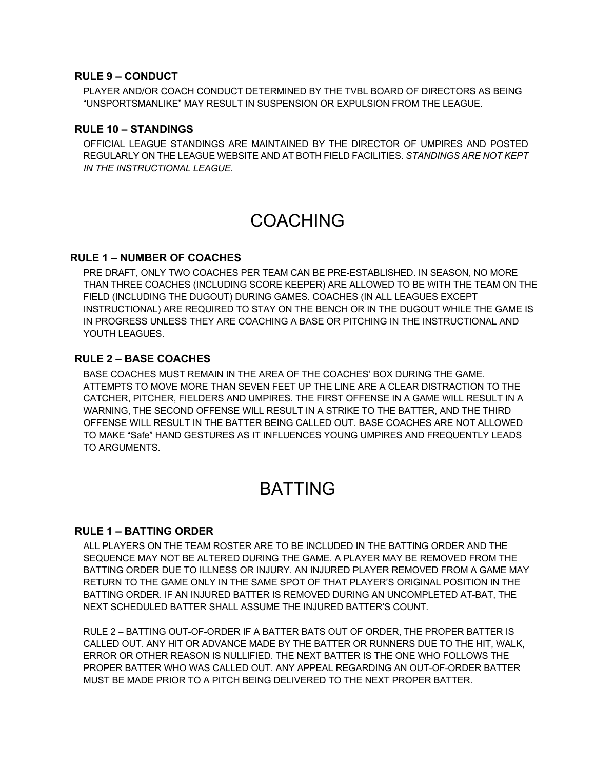#### **RULE 9 – CONDUCT**

PLAYER AND/OR COACH CONDUCT DETERMINED BY THE TVBL BOARD OF DIRECTORS AS BEING "UNSPORTSMANLIKE" MAY RESULT IN SUSPENSION OR EXPULSION FROM THE LEAGUE.

#### **RULE 10 – STANDINGS**

OFFICIAL LEAGUE STANDINGS ARE MAINTAINED BY THE DIRECTOR OF UMPIRES AND POSTED REGULARLY ON THE LEAGUE WEBSITE AND AT BOTH FIELD FACILITIES. *STANDINGS ARE NOT KEPT IN THE INSTRUCTIONAL LEAGUE.* 

# COACHING

#### **RULE 1 – NUMBER OF COACHES**

PRE DRAFT, ONLY TWO COACHES PER TEAM CAN BE PRE-ESTABLISHED. IN SEASON, NO MORE THAN THREE COACHES (INCLUDING SCORE KEEPER) ARE ALLOWED TO BE WITH THE TEAM ON THE FIELD (INCLUDING THE DUGOUT) DURING GAMES. COACHES (IN ALL LEAGUES EXCEPT INSTRUCTIONAL) ARE REQUIRED TO STAY ON THE BENCH OR IN THE DUGOUT WHILE THE GAME IS IN PROGRESS UNLESS THEY ARE COACHING A BASE OR PITCHING IN THE INSTRUCTIONAL AND YOUTH LEAGUES.

#### **RULE 2 – BASE COACHES**

BASE COACHES MUST REMAIN IN THE AREA OF THE COACHES' BOX DURING THE GAME. ATTEMPTS TO MOVE MORE THAN SEVEN FEET UP THE LINE ARE A CLEAR DISTRACTION TO THE CATCHER, PITCHER, FIELDERS AND UMPIRES. THE FIRST OFFENSE IN A GAME WILL RESULT IN A WARNING, THE SECOND OFFENSE WILL RESULT IN A STRIKE TO THE BATTER, AND THE THIRD OFFENSE WILL RESULT IN THE BATTER BEING CALLED OUT. BASE COACHES ARE NOT ALLOWED TO MAKE "Safe" HAND GESTURES AS IT INFLUENCES YOUNG UMPIRES AND FREQUENTLY LEADS TO ARGUMENTS.

# BATTING

#### **RULE 1 – BATTING ORDER**

ALL PLAYERS ON THE TEAM ROSTER ARE TO BE INCLUDED IN THE BATTING ORDER AND THE SEQUENCE MAY NOT BE ALTERED DURING THE GAME. A PLAYER MAY BE REMOVED FROM THE BATTING ORDER DUE TO ILLNESS OR INJURY. AN INJURED PLAYER REMOVED FROM A GAME MAY RETURN TO THE GAME ONLY IN THE SAME SPOT OF THAT PLAYER'S ORIGINAL POSITION IN THE BATTING ORDER. IF AN INJURED BATTER IS REMOVED DURING AN UNCOMPLETED AT-BAT, THE NEXT SCHEDULED BATTER SHALL ASSUME THE INJURED BATTER'S COUNT.

RULE 2 – BATTING OUT-OF-ORDER IF A BATTER BATS OUT OF ORDER, THE PROPER BATTER IS CALLED OUT. ANY HIT OR ADVANCE MADE BY THE BATTER OR RUNNERS DUE TO THE HIT, WALK, ERROR OR OTHER REASON IS NULLIFIED. THE NEXT BATTER IS THE ONE WHO FOLLOWS THE PROPER BATTER WHO WAS CALLED OUT. ANY APPEAL REGARDING AN OUT-OF-ORDER BATTER MUST BE MADE PRIOR TO A PITCH BEING DELIVERED TO THE NEXT PROPER BATTER.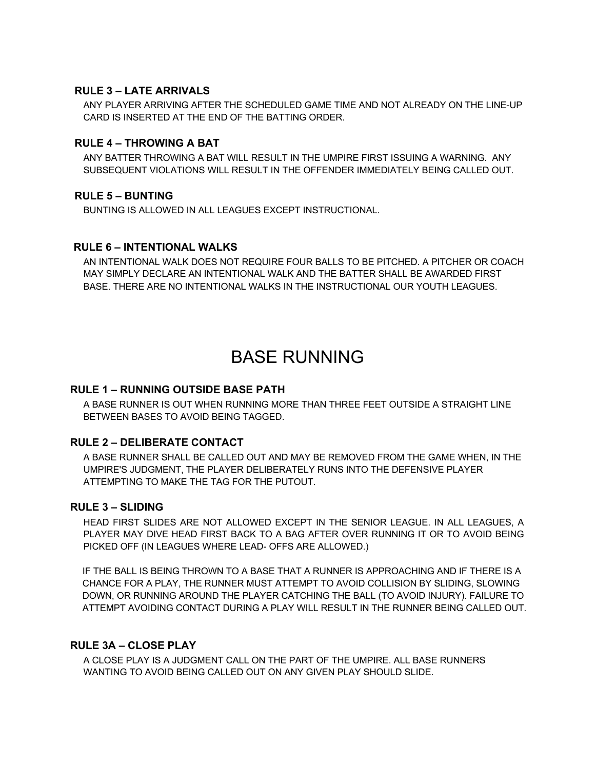#### **RULE 3 – LATE ARRIVALS**

ANY PLAYER ARRIVING AFTER THE SCHEDULED GAME TIME AND NOT ALREADY ON THE LINE-UP CARD IS INSERTED AT THE END OF THE BATTING ORDER.

#### **RULE 4 – THROWING A BAT**

ANY BATTER THROWING A BAT WILL RESULT IN THE UMPIRE FIRST ISSUING A WARNING. ANY SUBSEQUENT VIOLATIONS WILL RESULT IN THE OFFENDER IMMEDIATELY BEING CALLED OUT.

#### **RULE 5 – BUNTING**

BUNTING IS ALLOWED IN ALL LEAGUES EXCEPT INSTRUCTIONAL.

#### **RULE 6 – INTENTIONAL WALKS**

AN INTENTIONAL WALK DOES NOT REQUIRE FOUR BALLS TO BE PITCHED. A PITCHER OR COACH MAY SIMPLY DECLARE AN INTENTIONAL WALK AND THE BATTER SHALL BE AWARDED FIRST BASE. THERE ARE NO INTENTIONAL WALKS IN THE INSTRUCTIONAL OUR YOUTH LEAGUES.

# BASE RUNNING

#### **RULE 1 – RUNNING OUTSIDE BASE PATH**

A BASE RUNNER IS OUT WHEN RUNNING MORE THAN THREE FEET OUTSIDE A STRAIGHT LINE BETWEEN BASES TO AVOID BEING TAGGED.

#### **RULE 2 – DELIBERATE CONTACT**

A BASE RUNNER SHALL BE CALLED OUT AND MAY BE REMOVED FROM THE GAME WHEN, IN THE UMPIRE'S JUDGMENT, THE PLAYER DELIBERATELY RUNS INTO THE DEFENSIVE PLAYER ATTEMPTING TO MAKE THE TAG FOR THE PUTOUT.

#### **RULE 3 – SLIDING**

HEAD FIRST SLIDES ARE NOT ALLOWED EXCEPT IN THE SENIOR LEAGUE. IN ALL LEAGUES, A PLAYER MAY DIVE HEAD FIRST BACK TO A BAG AFTER OVER RUNNING IT OR TO AVOID BEING PICKED OFF (IN LEAGUES WHERE LEAD- OFFS ARE ALLOWED.)

IF THE BALL IS BEING THROWN TO A BASE THAT A RUNNER IS APPROACHING AND IF THERE IS A CHANCE FOR A PLAY, THE RUNNER MUST ATTEMPT TO AVOID COLLISION BY SLIDING, SLOWING DOWN, OR RUNNING AROUND THE PLAYER CATCHING THE BALL (TO AVOID INJURY). FAILURE TO ATTEMPT AVOIDING CONTACT DURING A PLAY WILL RESULT IN THE RUNNER BEING CALLED OUT.

#### **RULE 3A – CLOSE PLAY**

A CLOSE PLAY IS A JUDGMENT CALL ON THE PART OF THE UMPIRE. ALL BASE RUNNERS WANTING TO AVOID BEING CALLED OUT ON ANY GIVEN PLAY SHOULD SLIDE.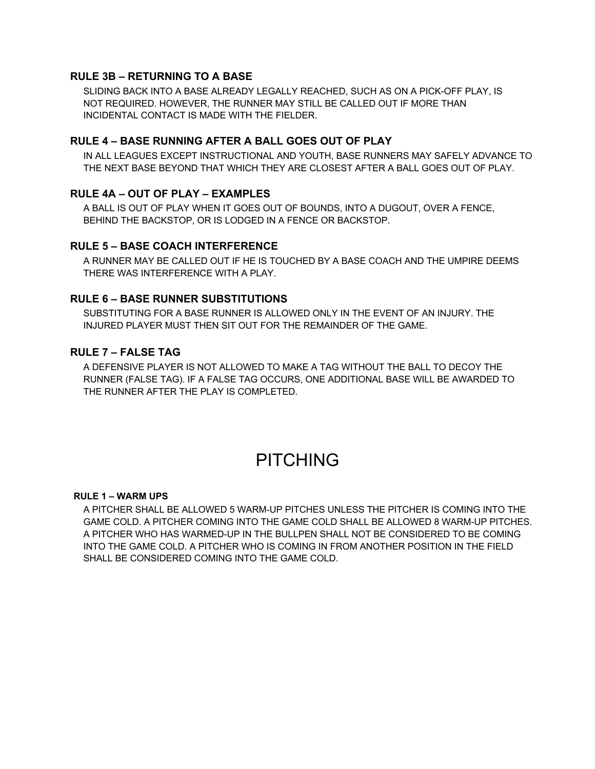#### **RULE 3B – RETURNING TO A BASE**

SLIDING BACK INTO A BASE ALREADY LEGALLY REACHED, SUCH AS ON A PICK-OFF PLAY, IS NOT REQUIRED. HOWEVER, THE RUNNER MAY STILL BE CALLED OUT IF MORE THAN INCIDENTAL CONTACT IS MADE WITH THE FIELDER.

#### **RULE 4 – BASE RUNNING AFTER A BALL GOES OUT OF PLAY**

IN ALL LEAGUES EXCEPT INSTRUCTIONAL AND YOUTH, BASE RUNNERS MAY SAFELY ADVANCE TO THE NEXT BASE BEYOND THAT WHICH THEY ARE CLOSEST AFTER A BALL GOES OUT OF PLAY.

#### **RULE 4A – OUT OF PLAY – EXAMPLES**

A BALL IS OUT OF PLAY WHEN IT GOES OUT OF BOUNDS, INTO A DUGOUT, OVER A FENCE, BEHIND THE BACKSTOP, OR IS LODGED IN A FENCE OR BACKSTOP.

#### **RULE 5 – BASE COACH INTERFERENCE**

A RUNNER MAY BE CALLED OUT IF HE IS TOUCHED BY A BASE COACH AND THE UMPIRE DEEMS THERE WAS INTERFERENCE WITH A PLAY.

#### **RULE 6 – BASE RUNNER SUBSTITUTIONS**

SUBSTITUTING FOR A BASE RUNNER IS ALLOWED ONLY IN THE EVENT OF AN INJURY. THE INJURED PLAYER MUST THEN SIT OUT FOR THE REMAINDER OF THE GAME.

#### **RULE 7 – FALSE TAG**

A DEFENSIVE PLAYER IS NOT ALLOWED TO MAKE A TAG WITHOUT THE BALL TO DECOY THE RUNNER (FALSE TAG). IF A FALSE TAG OCCURS, ONE ADDITIONAL BASE WILL BE AWARDED TO THE RUNNER AFTER THE PLAY IS COMPLETED.

# PITCHING

#### **RULE 1 – WARM UPS**

A PITCHER SHALL BE ALLOWED 5 WARM-UP PITCHES UNLESS THE PITCHER IS COMING INTO THE GAME COLD. A PITCHER COMING INTO THE GAME COLD SHALL BE ALLOWED 8 WARM-UP PITCHES. A PITCHER WHO HAS WARMED-UP IN THE BULLPEN SHALL NOT BE CONSIDERED TO BE COMING INTO THE GAME COLD. A PITCHER WHO IS COMING IN FROM ANOTHER POSITION IN THE FIELD SHALL BE CONSIDERED COMING INTO THE GAME COLD.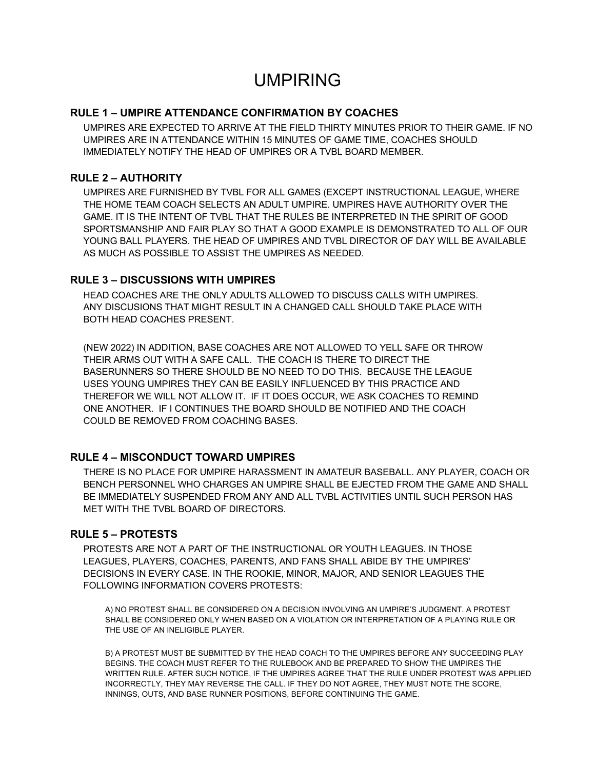# UMPIRING

#### **RULE 1 – UMPIRE ATTENDANCE CONFIRMATION BY COACHES**

UMPIRES ARE EXPECTED TO ARRIVE AT THE FIELD THIRTY MINUTES PRIOR TO THEIR GAME. IF NO UMPIRES ARE IN ATTENDANCE WITHIN 15 MINUTES OF GAME TIME, COACHES SHOULD IMMEDIATELY NOTIFY THE HEAD OF UMPIRES OR A TVBL BOARD MEMBER.

#### **RULE 2 – AUTHORITY**

UMPIRES ARE FURNISHED BY TVBL FOR ALL GAMES (EXCEPT INSTRUCTIONAL LEAGUE, WHERE THE HOME TEAM COACH SELECTS AN ADULT UMPIRE. UMPIRES HAVE AUTHORITY OVER THE GAME. IT IS THE INTENT OF TVBL THAT THE RULES BE INTERPRETED IN THE SPIRIT OF GOOD SPORTSMANSHIP AND FAIR PLAY SO THAT A GOOD EXAMPLE IS DEMONSTRATED TO ALL OF OUR YOUNG BALL PLAYERS. THE HEAD OF UMPIRES AND TVBL DIRECTOR OF DAY WILL BE AVAILABLE AS MUCH AS POSSIBLE TO ASSIST THE UMPIRES AS NEEDED.

#### **RULE 3 – DISCUSSIONS WITH UMPIRES**

HEAD COACHES ARE THE ONLY ADULTS ALLOWED TO DISCUSS CALLS WITH UMPIRES. ANY DISCUSIONS THAT MIGHT RESULT IN A CHANGED CALL SHOULD TAKE PLACE WITH BOTH HEAD COACHES PRESENT.

(NEW 2022) IN ADDITION, BASE COACHES ARE NOT ALLOWED TO YELL SAFE OR THROW THEIR ARMS OUT WITH A SAFE CALL. THE COACH IS THERE TO DIRECT THE BASERUNNERS SO THERE SHOULD BE NO NEED TO DO THIS. BECAUSE THE LEAGUE USES YOUNG UMPIRES THEY CAN BE EASILY INFLUENCED BY THIS PRACTICE AND THEREFOR WE WILL NOT ALLOW IT. IF IT DOES OCCUR, WE ASK COACHES TO REMIND ONE ANOTHER. IF I CONTINUES THE BOARD SHOULD BE NOTIFIED AND THE COACH COULD BE REMOVED FROM COACHING BASES.

#### **RULE 4 – MISCONDUCT TOWARD UMPIRES**

THERE IS NO PLACE FOR UMPIRE HARASSMENT IN AMATEUR BASEBALL. ANY PLAYER, COACH OR BENCH PERSONNEL WHO CHARGES AN UMPIRE SHALL BE EJECTED FROM THE GAME AND SHALL BE IMMEDIATELY SUSPENDED FROM ANY AND ALL TVBL ACTIVITIES UNTIL SUCH PERSON HAS MET WITH THE TVBL BOARD OF DIRECTORS.

#### **RULE 5 – PROTESTS**

PROTESTS ARE NOT A PART OF THE INSTRUCTIONAL OR YOUTH LEAGUES. IN THOSE LEAGUES, PLAYERS, COACHES, PARENTS, AND FANS SHALL ABIDE BY THE UMPIRES' DECISIONS IN EVERY CASE. IN THE ROOKIE, MINOR, MAJOR, AND SENIOR LEAGUES THE FOLLOWING INFORMATION COVERS PROTESTS:

A) NO PROTEST SHALL BE CONSIDERED ON A DECISION INVOLVING AN UMPIRE'S JUDGMENT. A PROTEST SHALL BE CONSIDERED ONLY WHEN BASED ON A VIOLATION OR INTERPRETATION OF A PLAYING RULE OR THE USE OF AN INELIGIBLE PLAYER.

B) A PROTEST MUST BE SUBMITTED BY THE HEAD COACH TO THE UMPIRES BEFORE ANY SUCCEEDING PLAY BEGINS. THE COACH MUST REFER TO THE RULEBOOK AND BE PREPARED TO SHOW THE UMPIRES THE WRITTEN RULE. AFTER SUCH NOTICE, IF THE UMPIRES AGREE THAT THE RULE UNDER PROTEST WAS APPLIED INCORRECTLY, THEY MAY REVERSE THE CALL. IF THEY DO NOT AGREE, THEY MUST NOTE THE SCORE, INNINGS, OUTS, AND BASE RUNNER POSITIONS, BEFORE CONTINUING THE GAME.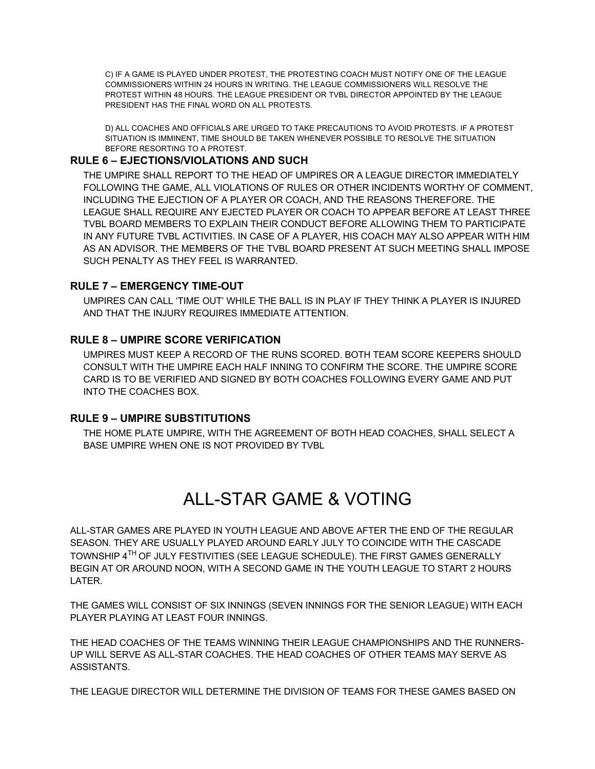C) IF A GAME IS PLAYED UNDER PROTEST, THE PROTESTING COACH MUST NOTIFY ONE OF THE LEAGUE COMMISSIONERS WITHIN 24 HOURS IN WRITING. THE LEAGUE COMMISSIONERS WILL RESOLVE THE PROTEST WITHIN 48 HOURS. THE LEAGUE PRESIDENT OR TVBL DIRECTOR APPOINTED BY THE LEAGUE PRESIDENT HAS THE FINAL WORD ON ALL PROTESTS.

D) ALL COACHES AND OFFICIALS ARE URGED TO TAKE PRECAUTIONS TO AVOID PROTESTS. IF A PROTEST SITUATION IS IMMINENT, TIME SHOULD BE TAKEN WHENEVER POSSIBLE TO RESOLVE THE SITUATION BEFORE RESORTING TO A PROTEST.

#### **RULE 6 – EJECTIONS/VIOLATIONS AND SUCH**

THE UMPIRE SHALL REPORT TO THE HEAD OF UMPIRES OR A LEAGUE DIRECTOR IMMEDIATELY FOLLOWING THE GAME, ALL VIOLATIONS OF RULES OR OTHER INCIDENTS WORTHY OF COMMENT, INCLUDING THE EJECTION OF A PLAYER OR COACH, AND THE REASONS THEREFORE. THE LEAGUE SHALL REQUIRE ANY EJECTED PLAYER OR COACH TO APPEAR BEFORE AT LEAST THREE TVBL BOARD MEMBERS TO EXPLAIN THEIR CONDUCT BEFORE ALLOWING THEM TO PARTICIPATE IN ANY FUTURE TVBL ACTIVITIES. IN CASE OF A PLAYER, HIS COACH MAY ALSO APPEAR WITH HIM AS AN ADVISOR. THE MEMBERS OF THE TVBL BOARD PRESENT AT SUCH MEETING SHALL IMPOSE SUCH PENALTY AS THEY FEEL IS WARRANTED.

#### **RULE 7 – EMERGENCY TIME-OUT**

UMPIRES CAN CALL 'TIME OUT' WHILE THE BALL IS IN PLAY IF THEY THINK A PLAYER IS INJURED AND THAT THE INJURY REQUIRES IMMEDIATE ATTENTION.

#### **RULE 8 – UMPIRE SCORE VERIFICATION**

UMPIRES MUST KEEP A RECORD OF THE RUNS SCORED. BOTH TEAM SCORE KEEPERS SHOULD CONSULT WITH THE UMPIRE EACH HALF INNING TO CONFIRM THE SCORE. THE UMPIRE SCORE CARD IS TO BE VERIFIED AND SIGNED BY BOTH COACHES FOLLOWING EVERY GAME AND PUT INTO THE COACHES BOX.

#### **RULE 9 – UMPIRE SUBSTITUTIONS**

THE HOME PLATE UMPIRE, WITH THE AGREEMENT OF BOTH HEAD COACHES, SHALL SELECT A BASE UMPIRE WHEN ONE IS NOT PROVIDED BY TVBL

# ALL-STAR GAME & VOTING

ALL-STAR GAMES ARE PLAYED IN YOUTH LEAGUE AND ABOVE AFTER THE END OF THE REGULAR SEASON. THEY ARE USUALLY PLAYED AROUND EARLY JULY TO COINCIDE WITH THE CASCADE TOWNSHIP 4TH OF JULY FESTIVITIES (SEE LEAGUE SCHEDULE). THE FIRST GAMES GENERALLY BEGIN AT OR AROUND NOON, WITH A SECOND GAME IN THE YOUTH LEAGUE TO START 2 HOURS LATER.

THE GAMES WILL CONSIST OF SIX INNINGS (SEVEN INNINGS FOR THE SENIOR LEAGUE) WITH EACH PLAYER PLAYING AT LEAST FOUR INNINGS.

THE HEAD COACHES OF THE TEAMS WINNING THEIR LEAGUE CHAMPIONSHIPS AND THE RUNNERS-UP WILL SERVE AS ALL-STAR COACHES. THE HEAD COACHES OF OTHER TEAMS MAY SERVE AS ASSISTANTS.

THE LEAGUE DIRECTOR WILL DETERMINE THE DIVISION OF TEAMS FOR THESE GAMES BASED ON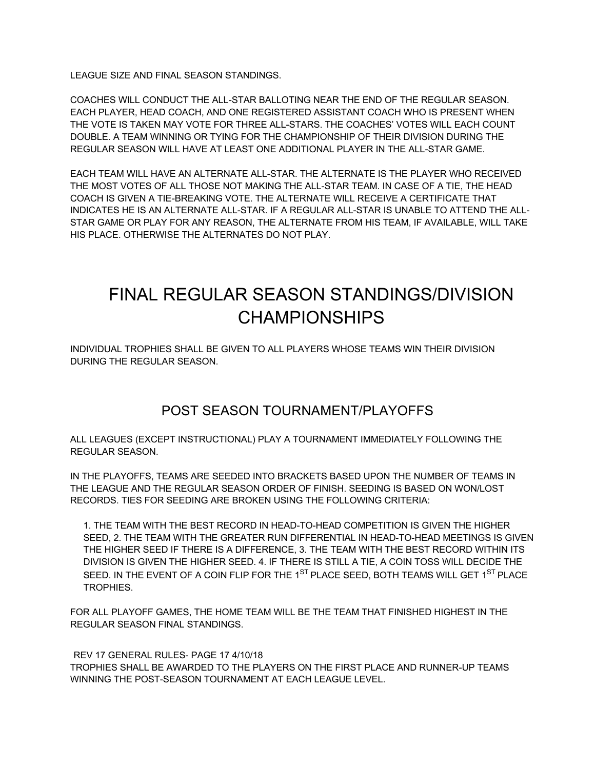LEAGUE SIZE AND FINAL SEASON STANDINGS.

COACHES WILL CONDUCT THE ALL-STAR BALLOTING NEAR THE END OF THE REGULAR SEASON. EACH PLAYER, HEAD COACH, AND ONE REGISTERED ASSISTANT COACH WHO IS PRESENT WHEN THE VOTE IS TAKEN MAY VOTE FOR THREE ALL-STARS. THE COACHES' VOTES WILL EACH COUNT DOUBLE. A TEAM WINNING OR TYING FOR THE CHAMPIONSHIP OF THEIR DIVISION DURING THE REGULAR SEASON WILL HAVE AT LEAST ONE ADDITIONAL PLAYER IN THE ALL-STAR GAME.

EACH TEAM WILL HAVE AN ALTERNATE ALL-STAR. THE ALTERNATE IS THE PLAYER WHO RECEIVED THE MOST VOTES OF ALL THOSE NOT MAKING THE ALL-STAR TEAM. IN CASE OF A TIE, THE HEAD COACH IS GIVEN A TIE-BREAKING VOTE. THE ALTERNATE WILL RECEIVE A CERTIFICATE THAT INDICATES HE IS AN ALTERNATE ALL-STAR. IF A REGULAR ALL-STAR IS UNABLE TO ATTEND THE ALL-STAR GAME OR PLAY FOR ANY REASON, THE ALTERNATE FROM HIS TEAM, IF AVAILABLE, WILL TAKE HIS PLACE. OTHERWISE THE ALTERNATES DO NOT PLAY.

# FINAL REGULAR SEASON STANDINGS/DIVISION CHAMPIONSHIPS

INDIVIDUAL TROPHIES SHALL BE GIVEN TO ALL PLAYERS WHOSE TEAMS WIN THEIR DIVISION DURING THE REGULAR SEASON.

## POST SEASON TOURNAMENT/PLAYOFFS

ALL LEAGUES (EXCEPT INSTRUCTIONAL) PLAY A TOURNAMENT IMMEDIATELY FOLLOWING THE REGULAR SEASON.

IN THE PLAYOFFS, TEAMS ARE SEEDED INTO BRACKETS BASED UPON THE NUMBER OF TEAMS IN THE LEAGUE AND THE REGULAR SEASON ORDER OF FINISH. SEEDING IS BASED ON WON/LOST RECORDS. TIES FOR SEEDING ARE BROKEN USING THE FOLLOWING CRITERIA:

1. THE TEAM WITH THE BEST RECORD IN HEAD-TO-HEAD COMPETITION IS GIVEN THE HIGHER SEED, 2. THE TEAM WITH THE GREATER RUN DIFFERENTIAL IN HEAD-TO-HEAD MEETINGS IS GIVEN THE HIGHER SEED IF THERE IS A DIFFERENCE, 3. THE TEAM WITH THE BEST RECORD WITHIN ITS DIVISION IS GIVEN THE HIGHER SEED. 4. IF THERE IS STILL A TIE, A COIN TOSS WILL DECIDE THE SEED. IN THE EVENT OF A COIN FLIP FOR THE 1<sup>ST</sup> PLACE SEED, BOTH TEAMS WILL GET 1<sup>ST</sup> PLACE TROPHIES.

FOR ALL PLAYOFF GAMES, THE HOME TEAM WILL BE THE TEAM THAT FINISHED HIGHEST IN THE REGULAR SEASON FINAL STANDINGS.

REV 17 GENERAL RULES- PAGE 17 4/10/18 TROPHIES SHALL BE AWARDED TO THE PLAYERS ON THE FIRST PLACE AND RUNNER-UP TEAMS WINNING THE POST-SEASON TOURNAMENT AT EACH LEAGUE LEVEL.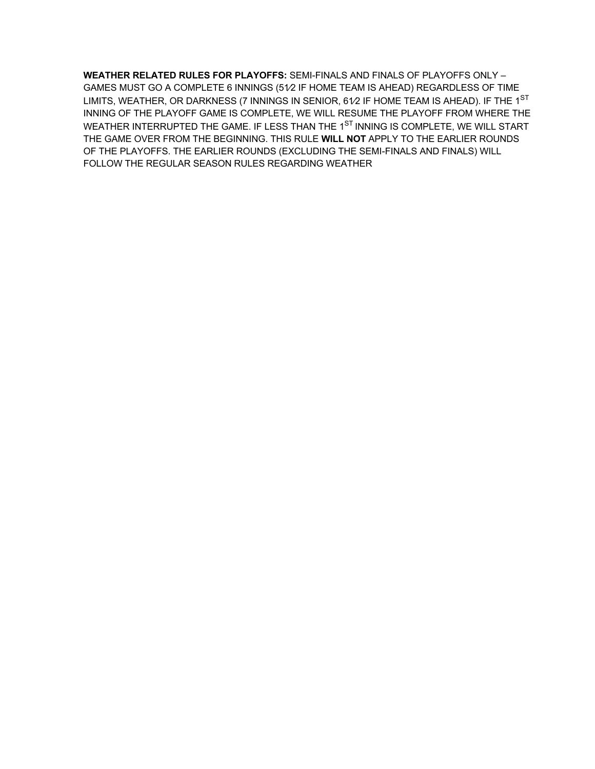**WEATHER RELATED RULES FOR PLAYOFFS:** SEMI-FINALS AND FINALS OF PLAYOFFS ONLY – GAMES MUST GO A COMPLETE 6 INNINGS (51⁄2 IF HOME TEAM IS AHEAD) REGARDLESS OF TIME LIMITS, WEATHER, OR DARKNESS (7 INNINGS IN SENIOR,  $61/2$  IF HOME TEAM IS AHEAD). IF THE  $1^{ST}$ INNING OF THE PLAYOFF GAME IS COMPLETE, WE WILL RESUME THE PLAYOFF FROM WHERE THE WEATHER INTERRUPTED THE GAME. IF LESS THAN THE 1<sup>ST</sup> INNING IS COMPLETE, WE WILL START THE GAME OVER FROM THE BEGINNING. THIS RULE **WILL NOT** APPLY TO THE EARLIER ROUNDS OF THE PLAYOFFS. THE EARLIER ROUNDS (EXCLUDING THE SEMI-FINALS AND FINALS) WILL FOLLOW THE REGULAR SEASON RULES REGARDING WEATHER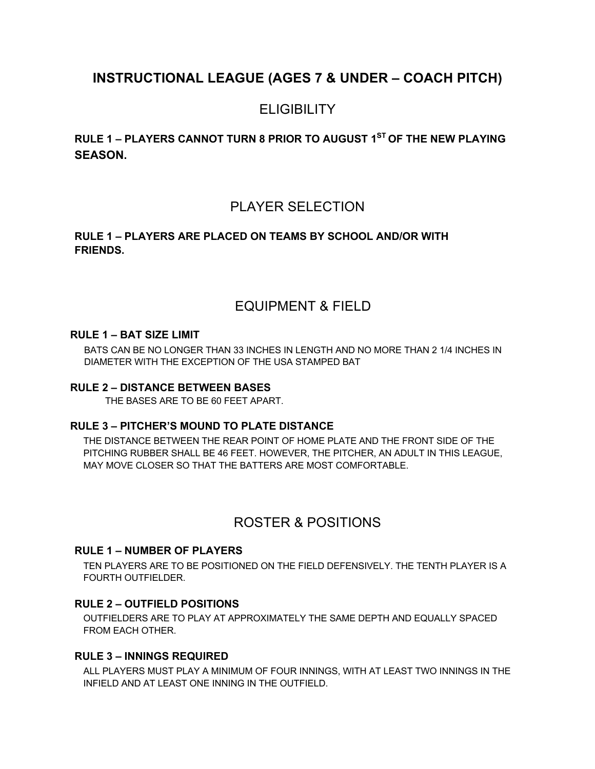# **INSTRUCTIONAL LEAGUE (AGES 7 & UNDER – COACH PITCH)**

# **ELIGIBILITY**

**RULE 1 – PLAYERS CANNOT TURN 8 PRIOR TO AUGUST 1ST OF THE NEW PLAYING SEASON.** 

## PLAYER SELECTION

### **RULE 1 – PLAYERS ARE PLACED ON TEAMS BY SCHOOL AND/OR WITH FRIENDS.**

## EQUIPMENT & FIELD

#### **RULE 1 – BAT SIZE LIMIT**

BATS CAN BE NO LONGER THAN 33 INCHES IN LENGTH AND NO MORE THAN 2 1/4 INCHES IN DIAMETER WITH THE EXCEPTION OF THE USA STAMPED BAT

#### **RULE 2 – DISTANCE BETWEEN BASES**

THE BASES ARE TO BE 60 FEET APART.

#### **RULE 3 – PITCHER'S MOUND TO PLATE DISTANCE**

THE DISTANCE BETWEEN THE REAR POINT OF HOME PLATE AND THE FRONT SIDE OF THE PITCHING RUBBER SHALL BE 46 FEET. HOWEVER, THE PITCHER, AN ADULT IN THIS LEAGUE, MAY MOVE CLOSER SO THAT THE BATTERS ARE MOST COMFORTABLE.

## ROSTER & POSITIONS

#### **RULE 1 – NUMBER OF PLAYERS**

TEN PLAYERS ARE TO BE POSITIONED ON THE FIELD DEFENSIVELY. THE TENTH PLAYER IS A FOURTH OUTFIELDER.

### **RULE 2 – OUTFIELD POSITIONS**

OUTFIELDERS ARE TO PLAY AT APPROXIMATELY THE SAME DEPTH AND EQUALLY SPACED FROM EACH OTHER.

#### **RULE 3 – INNINGS REQUIRED**

ALL PLAYERS MUST PLAY A MINIMUM OF FOUR INNINGS, WITH AT LEAST TWO INNINGS IN THE INFIELD AND AT LEAST ONE INNING IN THE OUTFIELD.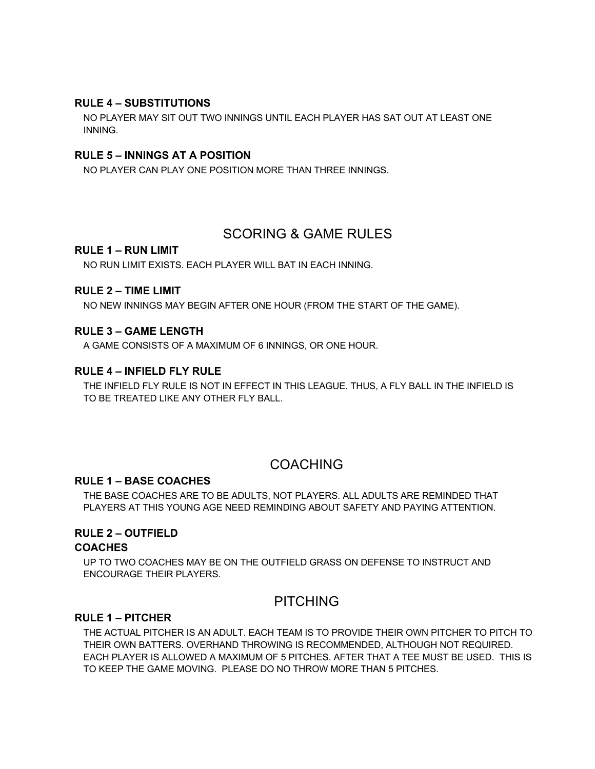#### **RULE 4 – SUBSTITUTIONS**

NO PLAYER MAY SIT OUT TWO INNINGS UNTIL EACH PLAYER HAS SAT OUT AT LEAST ONE INNING.

#### **RULE 5 – INNINGS AT A POSITION**

NO PLAYER CAN PLAY ONE POSITION MORE THAN THREE INNINGS.

## SCORING & GAME RULES

#### **RULE 1 – RUN LIMIT**

NO RUN LIMIT EXISTS. EACH PLAYER WILL BAT IN EACH INNING.

#### **RULE 2 – TIME LIMIT**

NO NEW INNINGS MAY BEGIN AFTER ONE HOUR (FROM THE START OF THE GAME).

#### **RULE 3 – GAME LENGTH**

A GAME CONSISTS OF A MAXIMUM OF 6 INNINGS, OR ONE HOUR.

#### **RULE 4 – INFIELD FLY RULE**

THE INFIELD FLY RULE IS NOT IN EFFECT IN THIS LEAGUE. THUS, A FLY BALL IN THE INFIELD IS TO BE TREATED LIKE ANY OTHER FLY BALL.

## COACHING

#### **RULE 1 – BASE COACHES**

THE BASE COACHES ARE TO BE ADULTS, NOT PLAYERS. ALL ADULTS ARE REMINDED THAT PLAYERS AT THIS YOUNG AGE NEED REMINDING ABOUT SAFETY AND PAYING ATTENTION.

## **RULE 2 – OUTFIELD**

#### **COACHES**

UP TO TWO COACHES MAY BE ON THE OUTFIELD GRASS ON DEFENSE TO INSTRUCT AND ENCOURAGE THEIR PLAYERS.

## PITCHING

#### **RULE 1 – PITCHER**

THE ACTUAL PITCHER IS AN ADULT. EACH TEAM IS TO PROVIDE THEIR OWN PITCHER TO PITCH TO THEIR OWN BATTERS. OVERHAND THROWING IS RECOMMENDED, ALTHOUGH NOT REQUIRED. EACH PLAYER IS ALLOWED A MAXIMUM OF 5 PITCHES. AFTER THAT A TEE MUST BE USED. THIS IS TO KEEP THE GAME MOVING. PLEASE DO NO THROW MORE THAN 5 PITCHES.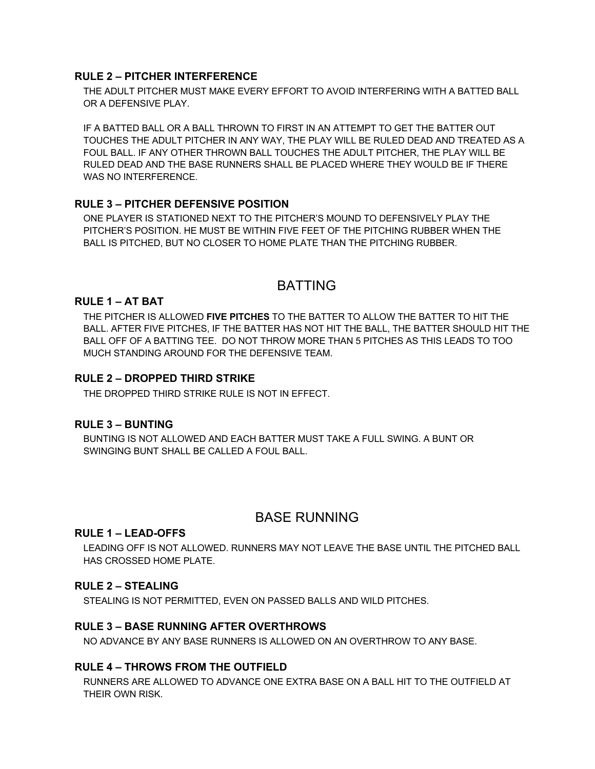#### **RULE 2 – PITCHER INTERFERENCE**

THE ADULT PITCHER MUST MAKE EVERY EFFORT TO AVOID INTERFERING WITH A BATTED BALL OR A DEFENSIVE PLAY.

IF A BATTED BALL OR A BALL THROWN TO FIRST IN AN ATTEMPT TO GET THE BATTER OUT TOUCHES THE ADULT PITCHER IN ANY WAY, THE PLAY WILL BE RULED DEAD AND TREATED AS A FOUL BALL. IF ANY OTHER THROWN BALL TOUCHES THE ADULT PITCHER, THE PLAY WILL BE RULED DEAD AND THE BASE RUNNERS SHALL BE PLACED WHERE THEY WOULD BE IF THERE WAS NO INTERFERENCE.

#### **RULE 3 – PITCHER DEFENSIVE POSITION**

ONE PLAYER IS STATIONED NEXT TO THE PITCHER'S MOUND TO DEFENSIVELY PLAY THE PITCHER'S POSITION. HE MUST BE WITHIN FIVE FEET OF THE PITCHING RUBBER WHEN THE BALL IS PITCHED, BUT NO CLOSER TO HOME PLATE THAN THE PITCHING RUBBER.

## BATTING

#### **RULE 1 – AT BAT**

THE PITCHER IS ALLOWED **FIVE PITCHES** TO THE BATTER TO ALLOW THE BATTER TO HIT THE BALL. AFTER FIVE PITCHES, IF THE BATTER HAS NOT HIT THE BALL, THE BATTER SHOULD HIT THE BALL OFF OF A BATTING TEE. DO NOT THROW MORE THAN 5 PITCHES AS THIS LEADS TO TOO MUCH STANDING AROUND FOR THE DEFENSIVE TEAM.

#### **RULE 2 – DROPPED THIRD STRIKE**

THE DROPPED THIRD STRIKE RULE IS NOT IN EFFECT.

#### **RULE 3 – BUNTING**

BUNTING IS NOT ALLOWED AND EACH BATTER MUST TAKE A FULL SWING. A BUNT OR SWINGING BUNT SHALL BE CALLED A FOUL BALL.

## BASE RUNNING

#### **RULE 1 – LEAD-OFFS**

LEADING OFF IS NOT ALLOWED. RUNNERS MAY NOT LEAVE THE BASE UNTIL THE PITCHED BALL HAS CROSSED HOME PLATE.

#### **RULE 2 – STEALING**

STEALING IS NOT PERMITTED, EVEN ON PASSED BALLS AND WILD PITCHES.

#### **RULE 3 – BASE RUNNING AFTER OVERTHROWS**

NO ADVANCE BY ANY BASE RUNNERS IS ALLOWED ON AN OVERTHROW TO ANY BASE.

#### **RULE 4 – THROWS FROM THE OUTFIELD**

RUNNERS ARE ALLOWED TO ADVANCE ONE EXTRA BASE ON A BALL HIT TO THE OUTFIELD AT THEIR OWN RISK.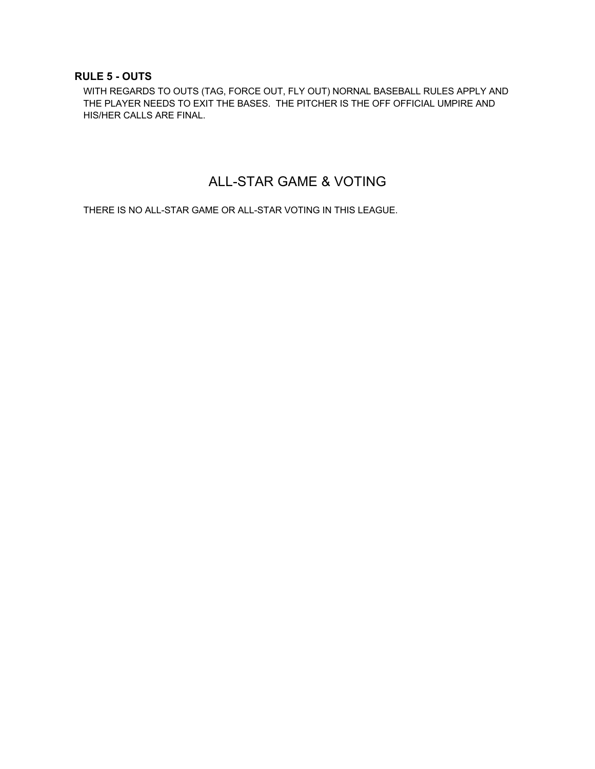#### **RULE 5 - OUTS**

WITH REGARDS TO OUTS (TAG, FORCE OUT, FLY OUT) NORNAL BASEBALL RULES APPLY AND THE PLAYER NEEDS TO EXIT THE BASES. THE PITCHER IS THE OFF OFFICIAL UMPIRE AND HIS/HER CALLS ARE FINAL.

# ALL-STAR GAME & VOTING

THERE IS NO ALL-STAR GAME OR ALL-STAR VOTING IN THIS LEAGUE.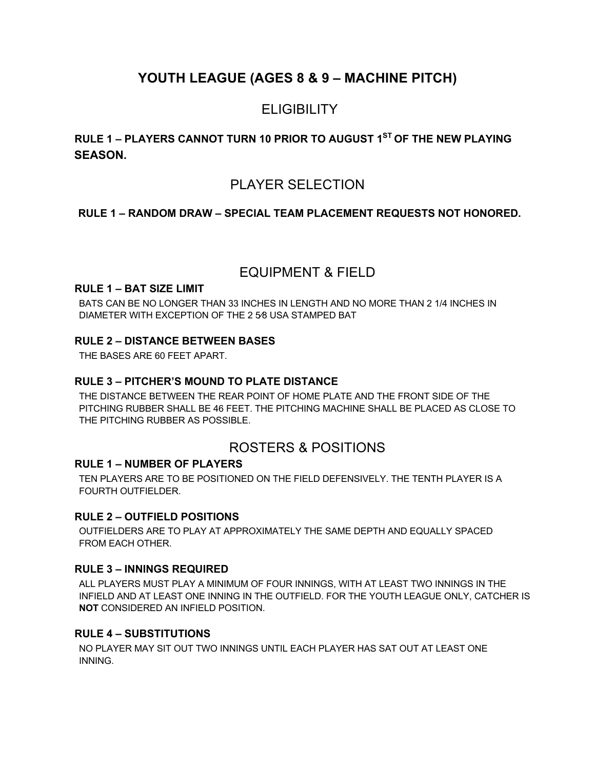# **YOUTH LEAGUE (AGES 8 & 9 – MACHINE PITCH)**

## **ELIGIBILITY**

## **RULE 1 – PLAYERS CANNOT TURN 10 PRIOR TO AUGUST 1ST OF THE NEW PLAYING SEASON.**

## PLAYER SELECTION

#### **RULE 1 – RANDOM DRAW – SPECIAL TEAM PLACEMENT REQUESTS NOT HONORED.**

## EQUIPMENT & FIELD

#### **RULE 1 – BAT SIZE LIMIT**

BATS CAN BE NO LONGER THAN 33 INCHES IN LENGTH AND NO MORE THAN 2 1/4 INCHES IN DIAMETER WITH EXCEPTION OF THE 2 5⁄8 USA STAMPED BAT

#### **RULE 2 – DISTANCE BETWEEN BASES**

THE BASES ARE 60 FEET APART.

#### **RULE 3 – PITCHER'S MOUND TO PLATE DISTANCE**

THE DISTANCE BETWEEN THE REAR POINT OF HOME PLATE AND THE FRONT SIDE OF THE PITCHING RUBBER SHALL BE 46 FEET. THE PITCHING MACHINE SHALL BE PLACED AS CLOSE TO THE PITCHING RUBBER AS POSSIBLE.

## ROSTERS & POSITIONS

#### **RULE 1 – NUMBER OF PLAYERS**

TEN PLAYERS ARE TO BE POSITIONED ON THE FIELD DEFENSIVELY. THE TENTH PLAYER IS A FOURTH OUTFIELDER.

#### **RULE 2 – OUTFIELD POSITIONS**

OUTFIELDERS ARE TO PLAY AT APPROXIMATELY THE SAME DEPTH AND EQUALLY SPACED FROM EACH OTHER.

#### **RULE 3 – INNINGS REQUIRED**

ALL PLAYERS MUST PLAY A MINIMUM OF FOUR INNINGS, WITH AT LEAST TWO INNINGS IN THE INFIELD AND AT LEAST ONE INNING IN THE OUTFIELD. FOR THE YOUTH LEAGUE ONLY, CATCHER IS **NOT** CONSIDERED AN INFIELD POSITION.

#### **RULE 4 – SUBSTITUTIONS**

NO PLAYER MAY SIT OUT TWO INNINGS UNTIL EACH PLAYER HAS SAT OUT AT LEAST ONE INNING.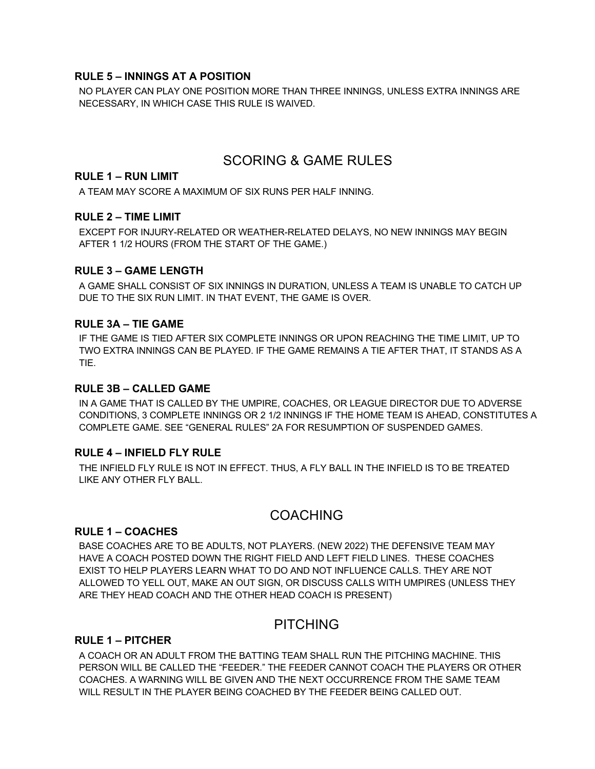#### **RULE 5 – INNINGS AT A POSITION**

NO PLAYER CAN PLAY ONE POSITION MORE THAN THREE INNINGS, UNLESS EXTRA INNINGS ARE NECESSARY, IN WHICH CASE THIS RULE IS WAIVED.

## SCORING & GAME RULES

#### **RULE 1 – RUN LIMIT**

A TEAM MAY SCORE A MAXIMUM OF SIX RUNS PER HALF INNING.

#### **RULE 2 – TIME LIMIT**

EXCEPT FOR INJURY-RELATED OR WEATHER-RELATED DELAYS, NO NEW INNINGS MAY BEGIN AFTER 1 1/2 HOURS (FROM THE START OF THE GAME.)

#### **RULE 3 – GAME LENGTH**

A GAME SHALL CONSIST OF SIX INNINGS IN DURATION, UNLESS A TEAM IS UNABLE TO CATCH UP DUE TO THE SIX RUN LIMIT. IN THAT EVENT, THE GAME IS OVER.

#### **RULE 3A – TIE GAME**

IF THE GAME IS TIED AFTER SIX COMPLETE INNINGS OR UPON REACHING THE TIME LIMIT, UP TO TWO EXTRA INNINGS CAN BE PLAYED. IF THE GAME REMAINS A TIE AFTER THAT, IT STANDS AS A TIE.

#### **RULE 3B – CALLED GAME**

IN A GAME THAT IS CALLED BY THE UMPIRE, COACHES, OR LEAGUE DIRECTOR DUE TO ADVERSE CONDITIONS, 3 COMPLETE INNINGS OR 2 1/2 INNINGS IF THE HOME TEAM IS AHEAD, CONSTITUTES A COMPLETE GAME. SEE "GENERAL RULES" 2A FOR RESUMPTION OF SUSPENDED GAMES.

#### **RULE 4 – INFIELD FLY RULE**

THE INFIELD FLY RULE IS NOT IN EFFECT. THUS, A FLY BALL IN THE INFIELD IS TO BE TREATED LIKE ANY OTHER FLY BALL.

## COACHING

#### **RULE 1 – COACHES**

BASE COACHES ARE TO BE ADULTS, NOT PLAYERS. (NEW 2022) THE DEFENSIVE TEAM MAY HAVE A COACH POSTED DOWN THE RIGHT FIELD AND LEFT FIELD LINES. THESE COACHES EXIST TO HELP PLAYERS LEARN WHAT TO DO AND NOT INFLUENCE CALLS. THEY ARE NOT ALLOWED TO YELL OUT, MAKE AN OUT SIGN, OR DISCUSS CALLS WITH UMPIRES (UNLESS THEY ARE THEY HEAD COACH AND THE OTHER HEAD COACH IS PRESENT)

## PITCHING

#### **RULE 1 – PITCHER**

A COACH OR AN ADULT FROM THE BATTING TEAM SHALL RUN THE PITCHING MACHINE. THIS PERSON WILL BE CALLED THE "FEEDER." THE FEEDER CANNOT COACH THE PLAYERS OR OTHER COACHES. A WARNING WILL BE GIVEN AND THE NEXT OCCURRENCE FROM THE SAME TEAM WILL RESULT IN THE PLAYER BEING COACHED BY THE FEEDER BEING CALLED OUT.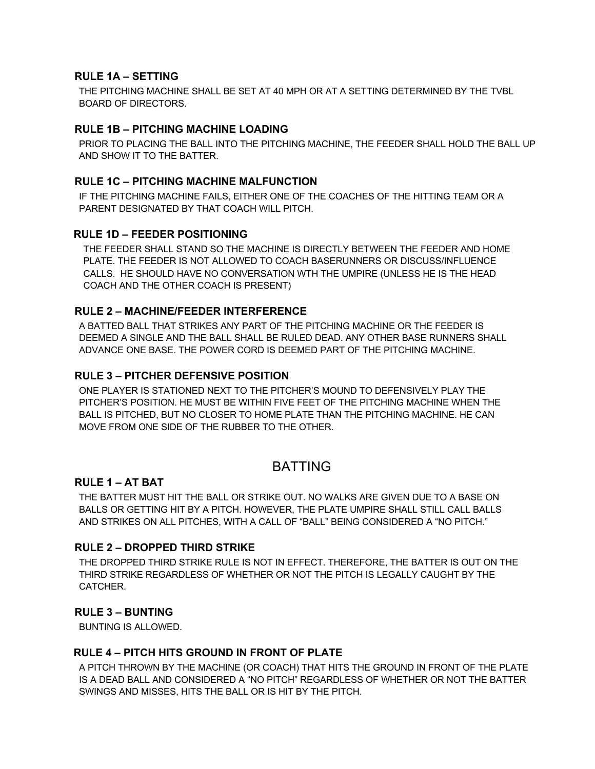#### **RULE 1A – SETTING**

THE PITCHING MACHINE SHALL BE SET AT 40 MPH OR AT A SETTING DETERMINED BY THE TVBL BOARD OF DIRECTORS.

#### **RULE 1B – PITCHING MACHINE LOADING**

PRIOR TO PLACING THE BALL INTO THE PITCHING MACHINE, THE FEEDER SHALL HOLD THE BALL UP AND SHOW IT TO THE BATTER.

#### **RULE 1C – PITCHING MACHINE MALFUNCTION**

IF THE PITCHING MACHINE FAILS, EITHER ONE OF THE COACHES OF THE HITTING TEAM OR A PARENT DESIGNATED BY THAT COACH WILL PITCH.

#### **RULE 1D – FEEDER POSITIONING**

THE FEEDER SHALL STAND SO THE MACHINE IS DIRECTLY BETWEEN THE FEEDER AND HOME PLATE. THE FEEDER IS NOT ALLOWED TO COACH BASERUNNERS OR DISCUSS/INFLUENCE CALLS. HE SHOULD HAVE NO CONVERSATION WTH THE UMPIRE (UNLESS HE IS THE HEAD COACH AND THE OTHER COACH IS PRESENT)

#### **RULE 2 – MACHINE/FEEDER INTERFERENCE**

A BATTED BALL THAT STRIKES ANY PART OF THE PITCHING MACHINE OR THE FEEDER IS DEEMED A SINGLE AND THE BALL SHALL BE RULED DEAD. ANY OTHER BASE RUNNERS SHALL ADVANCE ONE BASE. THE POWER CORD IS DEEMED PART OF THE PITCHING MACHINE.

#### **RULE 3 – PITCHER DEFENSIVE POSITION**

ONE PLAYER IS STATIONED NEXT TO THE PITCHER'S MOUND TO DEFENSIVELY PLAY THE PITCHER'S POSITION. HE MUST BE WITHIN FIVE FEET OF THE PITCHING MACHINE WHEN THE BALL IS PITCHED, BUT NO CLOSER TO HOME PLATE THAN THE PITCHING MACHINE. HE CAN MOVE FROM ONE SIDE OF THE RUBBER TO THE OTHER.

## BATTING

#### **RULE 1 – AT BAT**

THE BATTER MUST HIT THE BALL OR STRIKE OUT. NO WALKS ARE GIVEN DUE TO A BASE ON BALLS OR GETTING HIT BY A PITCH. HOWEVER, THE PLATE UMPIRE SHALL STILL CALL BALLS AND STRIKES ON ALL PITCHES, WITH A CALL OF "BALL" BEING CONSIDERED A "NO PITCH."

#### **RULE 2 – DROPPED THIRD STRIKE**

THE DROPPED THIRD STRIKE RULE IS NOT IN EFFECT. THEREFORE, THE BATTER IS OUT ON THE THIRD STRIKE REGARDLESS OF WHETHER OR NOT THE PITCH IS LEGALLY CAUGHT BY THE CATCHER.

#### **RULE 3 – BUNTING**

BUNTING IS ALLOWED.

#### **RULE 4 – PITCH HITS GROUND IN FRONT OF PLATE**

A PITCH THROWN BY THE MACHINE (OR COACH) THAT HITS THE GROUND IN FRONT OF THE PLATE IS A DEAD BALL AND CONSIDERED A "NO PITCH" REGARDLESS OF WHETHER OR NOT THE BATTER SWINGS AND MISSES, HITS THE BALL OR IS HIT BY THE PITCH.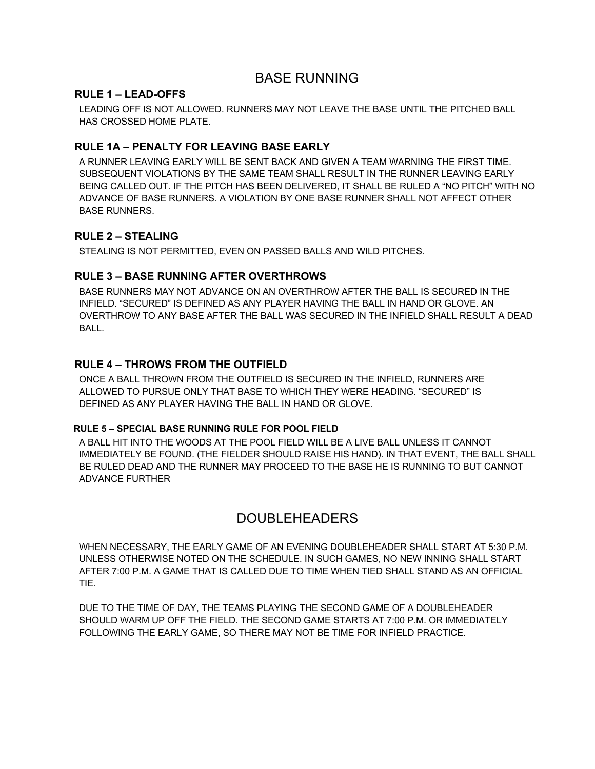## BASE RUNNING

#### **RULE 1 – LEAD-OFFS**

LEADING OFF IS NOT ALLOWED. RUNNERS MAY NOT LEAVE THE BASE UNTIL THE PITCHED BALL HAS CROSSED HOME PLATE.

#### **RULE 1A – PENALTY FOR LEAVING BASE EARLY**

A RUNNER LEAVING EARLY WILL BE SENT BACK AND GIVEN A TEAM WARNING THE FIRST TIME. SUBSEQUENT VIOLATIONS BY THE SAME TEAM SHALL RESULT IN THE RUNNER LEAVING EARLY BEING CALLED OUT. IF THE PITCH HAS BEEN DELIVERED, IT SHALL BE RULED A "NO PITCH" WITH NO ADVANCE OF BASE RUNNERS. A VIOLATION BY ONE BASE RUNNER SHALL NOT AFFECT OTHER BASE RUNNERS.

#### **RULE 2 – STEALING**

STEALING IS NOT PERMITTED, EVEN ON PASSED BALLS AND WILD PITCHES.

#### **RULE 3 – BASE RUNNING AFTER OVERTHROWS**

BASE RUNNERS MAY NOT ADVANCE ON AN OVERTHROW AFTER THE BALL IS SECURED IN THE INFIELD. "SECURED" IS DEFINED AS ANY PLAYER HAVING THE BALL IN HAND OR GLOVE. AN OVERTHROW TO ANY BASE AFTER THE BALL WAS SECURED IN THE INFIELD SHALL RESULT A DEAD BALL.

#### **RULE 4 – THROWS FROM THE OUTFIELD**

ONCE A BALL THROWN FROM THE OUTFIELD IS SECURED IN THE INFIELD, RUNNERS ARE ALLOWED TO PURSUE ONLY THAT BASE TO WHICH THEY WERE HEADING. "SECURED" IS DEFINED AS ANY PLAYER HAVING THE BALL IN HAND OR GLOVE.

#### **RULE 5 – SPECIAL BASE RUNNING RULE FOR POOL FIELD**

A BALL HIT INTO THE WOODS AT THE POOL FIELD WILL BE A LIVE BALL UNLESS IT CANNOT IMMEDIATELY BE FOUND. (THE FIELDER SHOULD RAISE HIS HAND). IN THAT EVENT, THE BALL SHALL BE RULED DEAD AND THE RUNNER MAY PROCEED TO THE BASE HE IS RUNNING TO BUT CANNOT ADVANCE FURTHER

## DOUBLEHEADERS

WHEN NECESSARY, THE EARLY GAME OF AN EVENING DOUBLEHEADER SHALL START AT 5:30 P.M. UNLESS OTHERWISE NOTED ON THE SCHEDULE. IN SUCH GAMES, NO NEW INNING SHALL START AFTER 7:00 P.M. A GAME THAT IS CALLED DUE TO TIME WHEN TIED SHALL STAND AS AN OFFICIAL TIE.

DUE TO THE TIME OF DAY, THE TEAMS PLAYING THE SECOND GAME OF A DOUBLEHEADER SHOULD WARM UP OFF THE FIELD. THE SECOND GAME STARTS AT 7:00 P.M. OR IMMEDIATELY FOLLOWING THE EARLY GAME, SO THERE MAY NOT BE TIME FOR INFIELD PRACTICE.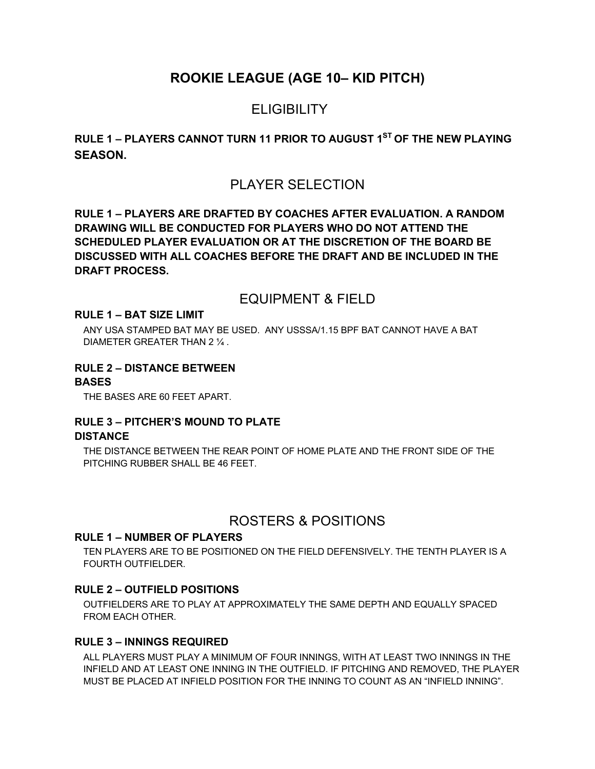## **ROOKIE LEAGUE (AGE 10– KID PITCH)**

## **ELIGIBILITY**

## **RULE 1 – PLAYERS CANNOT TURN 11 PRIOR TO AUGUST 1ST OF THE NEW PLAYING SEASON.**

## PLAYER SELECTION

**RULE 1 – PLAYERS ARE DRAFTED BY COACHES AFTER EVALUATION. A RANDOM DRAWING WILL BE CONDUCTED FOR PLAYERS WHO DO NOT ATTEND THE SCHEDULED PLAYER EVALUATION OR AT THE DISCRETION OF THE BOARD BE DISCUSSED WITH ALL COACHES BEFORE THE DRAFT AND BE INCLUDED IN THE DRAFT PROCESS.** 

### EQUIPMENT & FIELD

#### **RULE 1 – BAT SIZE LIMIT**

ANY USA STAMPED BAT MAY BE USED. ANY USSSA/1.15 BPF BAT CANNOT HAVE A BAT DIAMETER GREATER THAN 2 ¼ .

#### **RULE 2 – DISTANCE BETWEEN**

#### **BASES**

THE BASES ARE 60 FEET APART.

#### **RULE 3 – PITCHER'S MOUND TO PLATE DISTANCE**

THE DISTANCE BETWEEN THE REAR POINT OF HOME PLATE AND THE FRONT SIDE OF THE PITCHING RUBBER SHALL BE 46 FEET.

## ROSTERS & POSITIONS

#### **RULE 1 – NUMBER OF PLAYERS**

TEN PLAYERS ARE TO BE POSITIONED ON THE FIELD DEFENSIVELY. THE TENTH PLAYER IS A FOURTH OUTFIELDER.

#### **RULE 2 – OUTFIELD POSITIONS**

OUTFIELDERS ARE TO PLAY AT APPROXIMATELY THE SAME DEPTH AND EQUALLY SPACED FROM EACH OTHER.

#### **RULE 3 – INNINGS REQUIRED**

ALL PLAYERS MUST PLAY A MINIMUM OF FOUR INNINGS, WITH AT LEAST TWO INNINGS IN THE INFIELD AND AT LEAST ONE INNING IN THE OUTFIELD. IF PITCHING AND REMOVED, THE PLAYER MUST BE PLACED AT INFIELD POSITION FOR THE INNING TO COUNT AS AN "INFIELD INNING".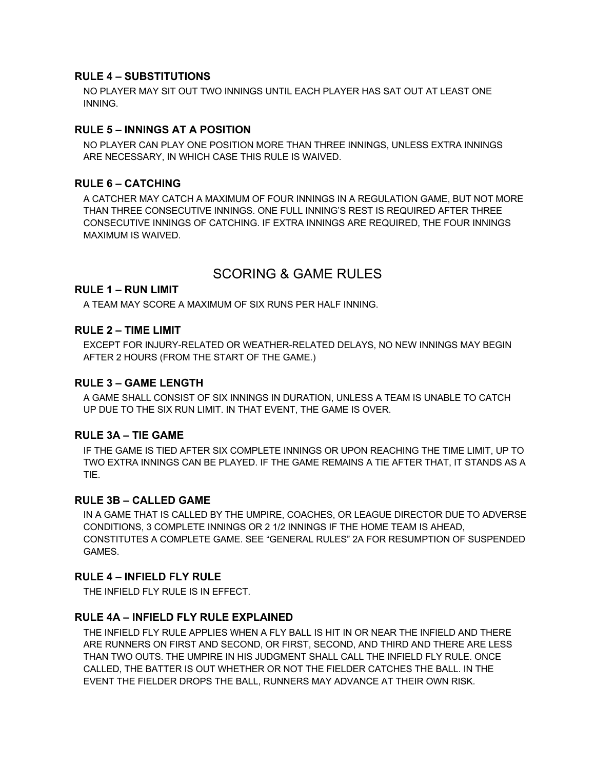#### **RULE 4 – SUBSTITUTIONS**

NO PLAYER MAY SIT OUT TWO INNINGS UNTIL EACH PLAYER HAS SAT OUT AT LEAST ONE INNING.

#### **RULE 5 – INNINGS AT A POSITION**

NO PLAYER CAN PLAY ONE POSITION MORE THAN THREE INNINGS, UNLESS EXTRA INNINGS ARE NECESSARY, IN WHICH CASE THIS RULE IS WAIVED.

#### **RULE 6 – CATCHING**

A CATCHER MAY CATCH A MAXIMUM OF FOUR INNINGS IN A REGULATION GAME, BUT NOT MORE THAN THREE CONSECUTIVE INNINGS. ONE FULL INNING'S REST IS REQUIRED AFTER THREE CONSECUTIVE INNINGS OF CATCHING. IF EXTRA INNINGS ARE REQUIRED, THE FOUR INNINGS MAXIMUM IS WAIVED.

## SCORING & GAME RULES

#### **RULE 1 – RUN LIMIT**

A TEAM MAY SCORE A MAXIMUM OF SIX RUNS PER HALF INNING.

#### **RULE 2 – TIME LIMIT**

EXCEPT FOR INJURY-RELATED OR WEATHER-RELATED DELAYS, NO NEW INNINGS MAY BEGIN AFTER 2 HOURS (FROM THE START OF THE GAME.)

#### **RULE 3 – GAME LENGTH**

A GAME SHALL CONSIST OF SIX INNINGS IN DURATION, UNLESS A TEAM IS UNABLE TO CATCH UP DUE TO THE SIX RUN LIMIT. IN THAT EVENT, THE GAME IS OVER.

#### **RULE 3A – TIE GAME**

IF THE GAME IS TIED AFTER SIX COMPLETE INNINGS OR UPON REACHING THE TIME LIMIT, UP TO TWO EXTRA INNINGS CAN BE PLAYED. IF THE GAME REMAINS A TIE AFTER THAT, IT STANDS AS A TIE.

#### **RULE 3B – CALLED GAME**

IN A GAME THAT IS CALLED BY THE UMPIRE, COACHES, OR LEAGUE DIRECTOR DUE TO ADVERSE CONDITIONS, 3 COMPLETE INNINGS OR 2 1/2 INNINGS IF THE HOME TEAM IS AHEAD, CONSTITUTES A COMPLETE GAME. SEE "GENERAL RULES" 2A FOR RESUMPTION OF SUSPENDED GAMES.

#### **RULE 4 – INFIELD FLY RULE**

THE INFIELD FLY RULE IS IN EFFECT.

#### **RULE 4A – INFIELD FLY RULE EXPLAINED**

THE INFIELD FLY RULE APPLIES WHEN A FLY BALL IS HIT IN OR NEAR THE INFIELD AND THERE ARE RUNNERS ON FIRST AND SECOND, OR FIRST, SECOND, AND THIRD AND THERE ARE LESS THAN TWO OUTS. THE UMPIRE IN HIS JUDGMENT SHALL CALL THE INFIELD FLY RULE. ONCE CALLED, THE BATTER IS OUT WHETHER OR NOT THE FIELDER CATCHES THE BALL. IN THE EVENT THE FIELDER DROPS THE BALL, RUNNERS MAY ADVANCE AT THEIR OWN RISK.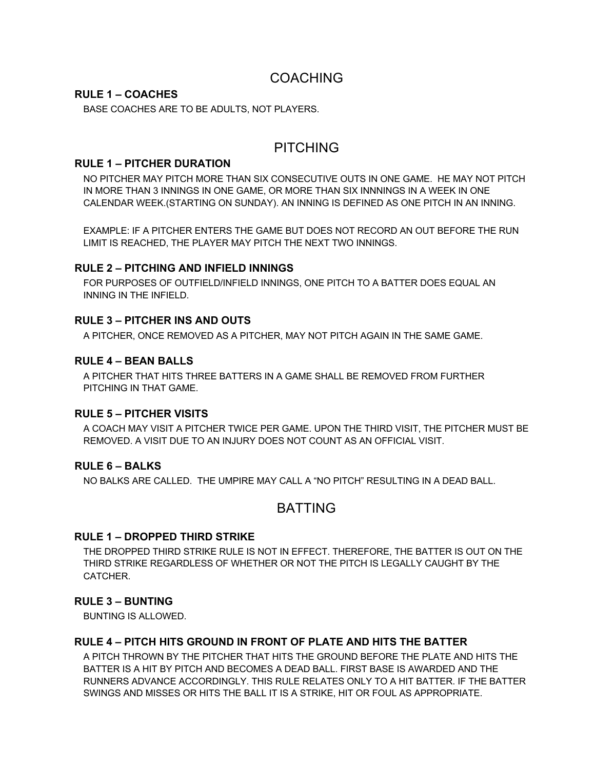## COACHING

#### **RULE 1 – COACHES**

BASE COACHES ARE TO BE ADULTS, NOT PLAYERS.

## PITCHING

#### **RULE 1 – PITCHER DURATION**

NO PITCHER MAY PITCH MORE THAN SIX CONSECUTIVE OUTS IN ONE GAME. HE MAY NOT PITCH IN MORE THAN 3 INNINGS IN ONE GAME, OR MORE THAN SIX INNNINGS IN A WEEK IN ONE CALENDAR WEEK.(STARTING ON SUNDAY). AN INNING IS DEFINED AS ONE PITCH IN AN INNING.

EXAMPLE: IF A PITCHER ENTERS THE GAME BUT DOES NOT RECORD AN OUT BEFORE THE RUN LIMIT IS REACHED, THE PLAYER MAY PITCH THE NEXT TWO INNINGS.

#### **RULE 2 – PITCHING AND INFIELD INNINGS**

FOR PURPOSES OF OUTFIELD/INFIELD INNINGS, ONE PITCH TO A BATTER DOES EQUAL AN INNING IN THE INFIELD.

#### **RULE 3 – PITCHER INS AND OUTS**

A PITCHER, ONCE REMOVED AS A PITCHER, MAY NOT PITCH AGAIN IN THE SAME GAME.

#### **RULE 4 – BEAN BALLS**

A PITCHER THAT HITS THREE BATTERS IN A GAME SHALL BE REMOVED FROM FURTHER PITCHING IN THAT GAME.

#### **RULE 5 – PITCHER VISITS**

A COACH MAY VISIT A PITCHER TWICE PER GAME. UPON THE THIRD VISIT, THE PITCHER MUST BE REMOVED. A VISIT DUE TO AN INJURY DOES NOT COUNT AS AN OFFICIAL VISIT.

#### **RULE 6 – BALKS**

NO BALKS ARE CALLED. THE UMPIRE MAY CALL A "NO PITCH" RESULTING IN A DEAD BALL.

## BATTING

#### **RULE 1 – DROPPED THIRD STRIKE**

THE DROPPED THIRD STRIKE RULE IS NOT IN EFFECT. THEREFORE, THE BATTER IS OUT ON THE THIRD STRIKE REGARDLESS OF WHETHER OR NOT THE PITCH IS LEGALLY CAUGHT BY THE CATCHER.

#### **RULE 3 – BUNTING**

BUNTING IS ALLOWED.

#### **RULE 4 – PITCH HITS GROUND IN FRONT OF PLATE AND HITS THE BATTER**

A PITCH THROWN BY THE PITCHER THAT HITS THE GROUND BEFORE THE PLATE AND HITS THE BATTER IS A HIT BY PITCH AND BECOMES A DEAD BALL. FIRST BASE IS AWARDED AND THE RUNNERS ADVANCE ACCORDINGLY. THIS RULE RELATES ONLY TO A HIT BATTER. IF THE BATTER SWINGS AND MISSES OR HITS THE BALL IT IS A STRIKE, HIT OR FOUL AS APPROPRIATE.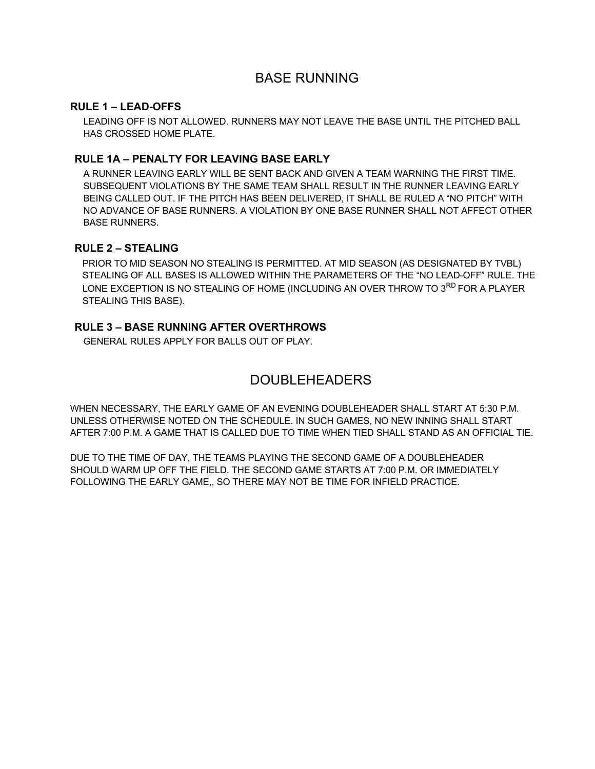## BASE RUNNING

#### **RULE 1 – LEAD-OFFS**

LEADING OFF IS NOT ALLOWED. RUNNERS MAY NOT LEAVE THE BASE UNTIL THE PITCHED BALL HAS CROSSED HOME PLATE.

#### **RULE 1A – PENALTY FOR LEAVING BASE EARLY**

A RUNNER LEAVING EARLY WILL BE SENT BACK AND GIVEN A TEAM WARNING THE FIRST TIME. SUBSEQUENT VIOLATIONS BY THE SAME TEAM SHALL RESULT IN THE RUNNER LEAVING EARLY BEING CALLED OUT. IF THE PITCH HAS BEEN DELIVERED, IT SHALL BE RULED A "NO PITCH" WITH NO ADVANCE OF BASE RUNNERS. A VIOLATION BY ONE BASE RUNNER SHALL NOT AFFECT OTHER BASE RUNNERS.

#### **RULE 2 – STEALING**

PRIOR TO MID SEASON NO STEALING IS PERMITTED. AT MID SEASON (AS DESIGNATED BY TVBL) STEALING OF ALL BASES IS ALLOWED WITHIN THE PARAMETERS OF THE "NO LEAD-OFF" RULE. THE LONE EXCEPTION IS NO STEALING OF HOME (INCLUDING AN OVER THROW TO 3<sup>RD</sup> FOR A PLAYER STEALING THIS BASE).

#### **RULE 3 – BASE RUNNING AFTER OVERTHROWS**

GENERAL RULES APPLY FOR BALLS OUT OF PLAY.

## DOUBLEHEADERS

WHEN NECESSARY, THE EARLY GAME OF AN EVENING DOUBLEHEADER SHALL START AT 5:30 P.M. UNLESS OTHERWISE NOTED ON THE SCHEDULE. IN SUCH GAMES, NO NEW INNING SHALL START AFTER 7:00 P.M. A GAME THAT IS CALLED DUE TO TIME WHEN TIED SHALL STAND AS AN OFFICIAL TIE.

DUE TO THE TIME OF DAY, THE TEAMS PLAYING THE SECOND GAME OF A DOUBLEHEADER SHOULD WARM UP OFF THE FIELD. THE SECOND GAME STARTS AT 7:00 P.M. OR IMMEDIATELY FOLLOWING THE EARLY GAME,, SO THERE MAY NOT BE TIME FOR INFIELD PRACTICE.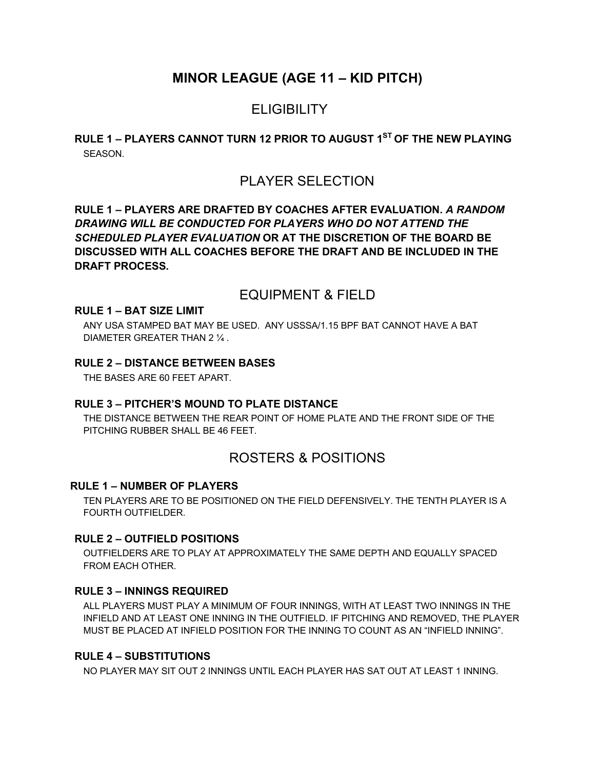## **MINOR LEAGUE (AGE 11 – KID PITCH)**

## **ELIGIBILITY**

### **RULE 1 – PLAYERS CANNOT TURN 12 PRIOR TO AUGUST 1ST OF THE NEW PLAYING**  SEASON.

## PLAYER SELECTION

**RULE 1 – PLAYERS ARE DRAFTED BY COACHES AFTER EVALUATION.** *A RANDOM DRAWING WILL BE CONDUCTED FOR PLAYERS WHO DO NOT ATTEND THE SCHEDULED PLAYER EVALUATION* **OR AT THE DISCRETION OF THE BOARD BE DISCUSSED WITH ALL COACHES BEFORE THE DRAFT AND BE INCLUDED IN THE DRAFT PROCESS***.* 

## EQUIPMENT & FIELD

#### **RULE 1 – BAT SIZE LIMIT**

ANY USA STAMPED BAT MAY BE USED. ANY USSSA/1.15 BPF BAT CANNOT HAVE A BAT DIAMETER GREATER THAN 2 ¼ .

#### **RULE 2 – DISTANCE BETWEEN BASES**

THE BASES ARE 60 FEET APART.

#### **RULE 3 – PITCHER'S MOUND TO PLATE DISTANCE**

THE DISTANCE BETWEEN THE REAR POINT OF HOME PLATE AND THE FRONT SIDE OF THE PITCHING RUBBER SHALL BE 46 FEET.

## ROSTERS & POSITIONS

#### **RULE 1 – NUMBER OF PLAYERS**

TEN PLAYERS ARE TO BE POSITIONED ON THE FIELD DEFENSIVELY. THE TENTH PLAYER IS A FOURTH OUTFIELDER.

#### **RULE 2 – OUTFIELD POSITIONS**

OUTFIELDERS ARE TO PLAY AT APPROXIMATELY THE SAME DEPTH AND EQUALLY SPACED FROM EACH OTHER.

#### **RULE 3 – INNINGS REQUIRED**

ALL PLAYERS MUST PLAY A MINIMUM OF FOUR INNINGS, WITH AT LEAST TWO INNINGS IN THE INFIELD AND AT LEAST ONE INNING IN THE OUTFIELD. IF PITCHING AND REMOVED, THE PLAYER MUST BE PLACED AT INFIELD POSITION FOR THE INNING TO COUNT AS AN "INFIELD INNING".

#### **RULE 4 – SUBSTITUTIONS**

NO PLAYER MAY SIT OUT 2 INNINGS UNTIL EACH PLAYER HAS SAT OUT AT LEAST 1 INNING.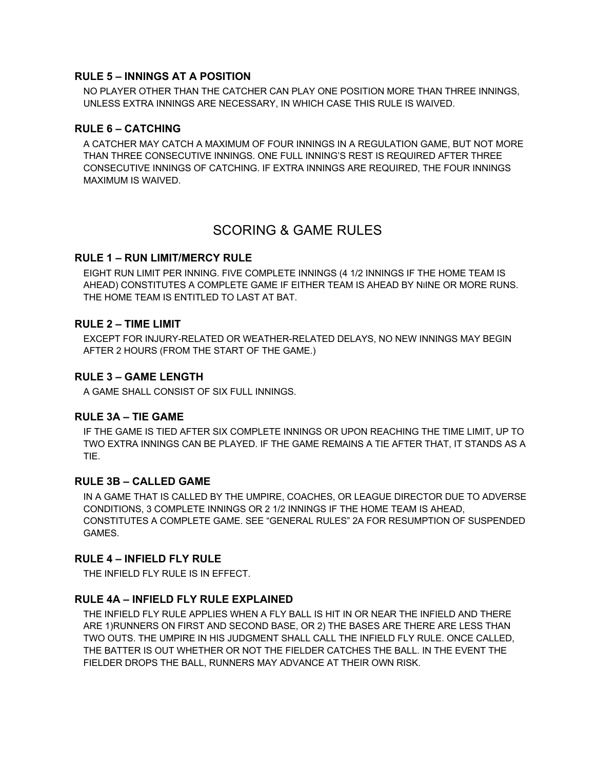#### **RULE 5 – INNINGS AT A POSITION**

NO PLAYER OTHER THAN THE CATCHER CAN PLAY ONE POSITION MORE THAN THREE INNINGS, UNLESS EXTRA INNINGS ARE NECESSARY, IN WHICH CASE THIS RULE IS WAIVED.

#### **RULE 6 – CATCHING**

A CATCHER MAY CATCH A MAXIMUM OF FOUR INNINGS IN A REGULATION GAME, BUT NOT MORE THAN THREE CONSECUTIVE INNINGS. ONE FULL INNING'S REST IS REQUIRED AFTER THREE CONSECUTIVE INNINGS OF CATCHING. IF EXTRA INNINGS ARE REQUIRED, THE FOUR INNINGS MAXIMUM IS WAIVED.

## SCORING & GAME RULES

#### **RULE 1 – RUN LIMIT/MERCY RULE**

EIGHT RUN LIMIT PER INNING. FIVE COMPLETE INNINGS (4 1/2 INNINGS IF THE HOME TEAM IS AHEAD) CONSTITUTES A COMPLETE GAME IF EITHER TEAM IS AHEAD BY NIINE OR MORE RUNS. THE HOME TEAM IS ENTITLED TO LAST AT BAT.

#### **RULE 2 – TIME LIMIT**

EXCEPT FOR INJURY-RELATED OR WEATHER-RELATED DELAYS, NO NEW INNINGS MAY BEGIN AFTER 2 HOURS (FROM THE START OF THE GAME.)

#### **RULE 3 – GAME LENGTH**

A GAME SHALL CONSIST OF SIX FULL INNINGS.

#### **RULE 3A – TIE GAME**

IF THE GAME IS TIED AFTER SIX COMPLETE INNINGS OR UPON REACHING THE TIME LIMIT, UP TO TWO EXTRA INNINGS CAN BE PLAYED. IF THE GAME REMAINS A TIE AFTER THAT, IT STANDS AS A TIE.

#### **RULE 3B – CALLED GAME**

IN A GAME THAT IS CALLED BY THE UMPIRE, COACHES, OR LEAGUE DIRECTOR DUE TO ADVERSE CONDITIONS, 3 COMPLETE INNINGS OR 2 1/2 INNINGS IF THE HOME TEAM IS AHEAD, CONSTITUTES A COMPLETE GAME. SEE "GENERAL RULES" 2A FOR RESUMPTION OF SUSPENDED GAMES.

#### **RULE 4 – INFIELD FLY RULE**

THE INFIELD FLY RULE IS IN EFFECT.

#### **RULE 4A – INFIELD FLY RULE EXPLAINED**

THE INFIELD FLY RULE APPLIES WHEN A FLY BALL IS HIT IN OR NEAR THE INFIELD AND THERE ARE 1)RUNNERS ON FIRST AND SECOND BASE, OR 2) THE BASES ARE THERE ARE LESS THAN TWO OUTS. THE UMPIRE IN HIS JUDGMENT SHALL CALL THE INFIELD FLY RULE. ONCE CALLED, THE BATTER IS OUT WHETHER OR NOT THE FIELDER CATCHES THE BALL. IN THE EVENT THE FIELDER DROPS THE BALL, RUNNERS MAY ADVANCE AT THEIR OWN RISK.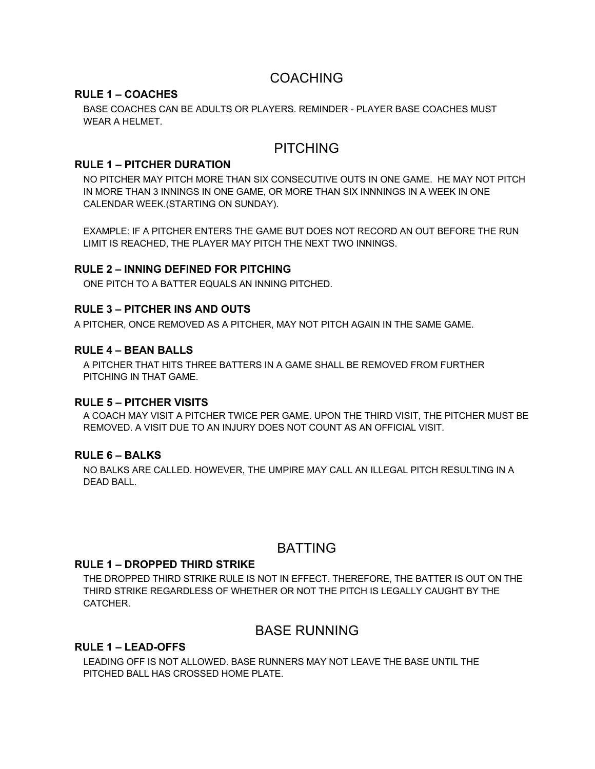## COACHING

#### **RULE 1 – COACHES**

BASE COACHES CAN BE ADULTS OR PLAYERS. REMINDER - PLAYER BASE COACHES MUST WEAR A HELMET.

## PITCHING

#### **RULE 1 – PITCHER DURATION**

NO PITCHER MAY PITCH MORE THAN SIX CONSECUTIVE OUTS IN ONE GAME. HE MAY NOT PITCH IN MORE THAN 3 INNINGS IN ONE GAME, OR MORE THAN SIX INNNINGS IN A WEEK IN ONE CALENDAR WEEK.(STARTING ON SUNDAY).

EXAMPLE: IF A PITCHER ENTERS THE GAME BUT DOES NOT RECORD AN OUT BEFORE THE RUN LIMIT IS REACHED, THE PLAYER MAY PITCH THE NEXT TWO INNINGS.

#### **RULE 2 – INNING DEFINED FOR PITCHING**

ONE PITCH TO A BATTER EQUALS AN INNING PITCHED.

#### **RULE 3 – PITCHER INS AND OUTS**

A PITCHER, ONCE REMOVED AS A PITCHER, MAY NOT PITCH AGAIN IN THE SAME GAME.

#### **RULE 4 – BEAN BALLS**

A PITCHER THAT HITS THREE BATTERS IN A GAME SHALL BE REMOVED FROM FURTHER PITCHING IN THAT GAME.

#### **RULE 5 – PITCHER VISITS**

A COACH MAY VISIT A PITCHER TWICE PER GAME. UPON THE THIRD VISIT, THE PITCHER MUST BE REMOVED. A VISIT DUE TO AN INJURY DOES NOT COUNT AS AN OFFICIAL VISIT.

#### **RULE 6 – BALKS**

NO BALKS ARE CALLED. HOWEVER, THE UMPIRE MAY CALL AN ILLEGAL PITCH RESULTING IN A DEAD BALL.

## BATTING

#### **RULE 1 – DROPPED THIRD STRIKE**

THE DROPPED THIRD STRIKE RULE IS NOT IN EFFECT. THEREFORE, THE BATTER IS OUT ON THE THIRD STRIKE REGARDLESS OF WHETHER OR NOT THE PITCH IS LEGALLY CAUGHT BY THE CATCHER.

## BASE RUNNING

#### **RULE 1 – LEAD-OFFS**

LEADING OFF IS NOT ALLOWED. BASE RUNNERS MAY NOT LEAVE THE BASE UNTIL THE PITCHED BALL HAS CROSSED HOME PLATE.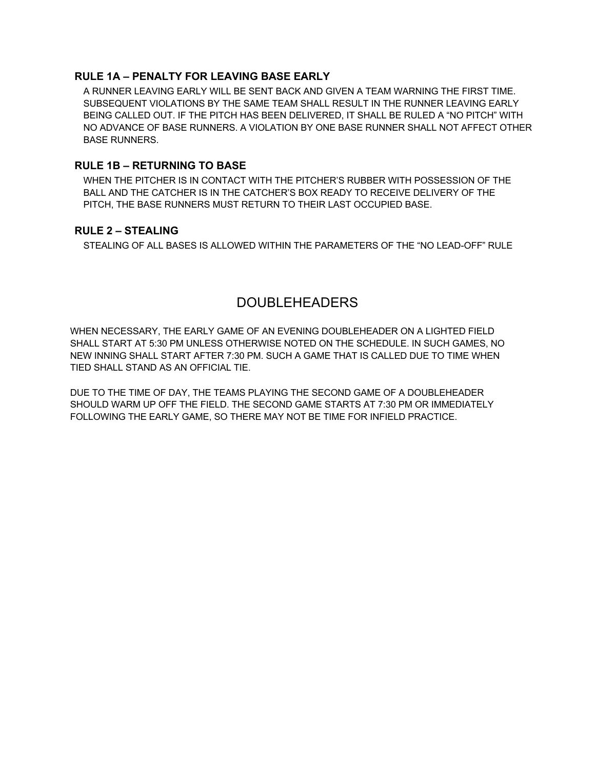### **RULE 1A – PENALTY FOR LEAVING BASE EARLY**

A RUNNER LEAVING EARLY WILL BE SENT BACK AND GIVEN A TEAM WARNING THE FIRST TIME. SUBSEQUENT VIOLATIONS BY THE SAME TEAM SHALL RESULT IN THE RUNNER LEAVING EARLY BEING CALLED OUT. IF THE PITCH HAS BEEN DELIVERED, IT SHALL BE RULED A "NO PITCH" WITH NO ADVANCE OF BASE RUNNERS. A VIOLATION BY ONE BASE RUNNER SHALL NOT AFFECT OTHER BASE RUNNERS.

#### **RULE 1B – RETURNING TO BASE**

WHEN THE PITCHER IS IN CONTACT WITH THE PITCHER'S RUBBER WITH POSSESSION OF THE BALL AND THE CATCHER IS IN THE CATCHER'S BOX READY TO RECEIVE DELIVERY OF THE PITCH, THE BASE RUNNERS MUST RETURN TO THEIR LAST OCCUPIED BASE.

#### **RULE 2 – STEALING**

STEALING OF ALL BASES IS ALLOWED WITHIN THE PARAMETERS OF THE "NO LEAD-OFF" RULE

## DOUBLEHEADERS

WHEN NECESSARY, THE EARLY GAME OF AN EVENING DOUBLEHEADER ON A LIGHTED FIELD SHALL START AT 5:30 PM UNLESS OTHERWISE NOTED ON THE SCHEDULE. IN SUCH GAMES, NO NEW INNING SHALL START AFTER 7:30 PM. SUCH A GAME THAT IS CALLED DUE TO TIME WHEN TIED SHALL STAND AS AN OFFICIAL TIE.

DUE TO THE TIME OF DAY, THE TEAMS PLAYING THE SECOND GAME OF A DOUBLEHEADER SHOULD WARM UP OFF THE FIELD. THE SECOND GAME STARTS AT 7:30 PM OR IMMEDIATELY FOLLOWING THE EARLY GAME, SO THERE MAY NOT BE TIME FOR INFIELD PRACTICE.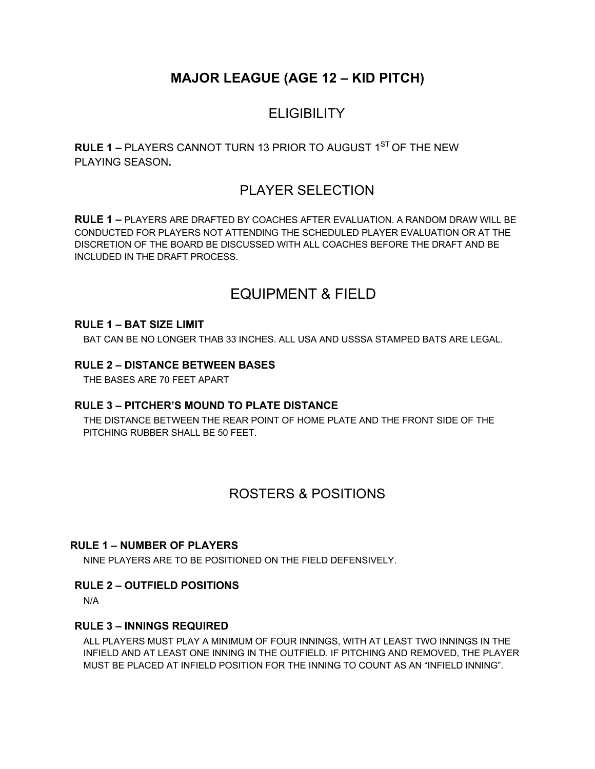# **MAJOR LEAGUE (AGE 12 – KID PITCH)**

# **ELIGIBILITY**

**RULE 1 – PLAYERS CANNOT TURN 13 PRIOR TO AUGUST 1<sup>ST</sup> OF THE NEW** PLAYING SEASON**.** 

# PLAYER SELECTION

**RULE 1 –** PLAYERS ARE DRAFTED BY COACHES AFTER EVALUATION. A RANDOM DRAW WILL BE CONDUCTED FOR PLAYERS NOT ATTENDING THE SCHEDULED PLAYER EVALUATION OR AT THE DISCRETION OF THE BOARD BE DISCUSSED WITH ALL COACHES BEFORE THE DRAFT AND BE INCLUDED IN THE DRAFT PROCESS.

# EQUIPMENT & FIELD

#### **RULE 1 – BAT SIZE LIMIT**

BAT CAN BE NO LONGER THAB 33 INCHES. ALL USA AND USSSA STAMPED BATS ARE LEGAL.

#### **RULE 2 – DISTANCE BETWEEN BASES**

THE BASES ARE 70 FEET APART

#### **RULE 3 – PITCHER'S MOUND TO PLATE DISTANCE**

THE DISTANCE BETWEEN THE REAR POINT OF HOME PLATE AND THE FRONT SIDE OF THE PITCHING RUBBER SHALL BE 50 FEET.

## ROSTERS & POSITIONS

#### **RULE 1 – NUMBER OF PLAYERS**

NINE PLAYERS ARE TO BE POSITIONED ON THE FIELD DEFENSIVELY.

#### **RULE 2 – OUTFIELD POSITIONS**

N/A

#### **RULE 3 – INNINGS REQUIRED**

ALL PLAYERS MUST PLAY A MINIMUM OF FOUR INNINGS, WITH AT LEAST TWO INNINGS IN THE INFIELD AND AT LEAST ONE INNING IN THE OUTFIELD. IF PITCHING AND REMOVED, THE PLAYER MUST BE PLACED AT INFIELD POSITION FOR THE INNING TO COUNT AS AN "INFIELD INNING".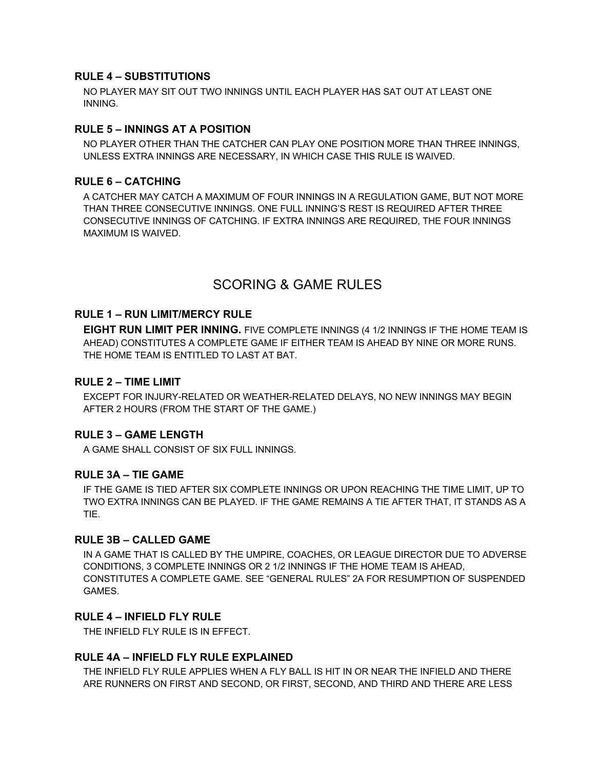#### **RULE 4 – SUBSTITUTIONS**

NO PLAYER MAY SIT OUT TWO INNINGS UNTIL EACH PLAYER HAS SAT OUT AT LEAST ONE INNING.

#### **RULE 5 – INNINGS AT A POSITION**

NO PLAYER OTHER THAN THE CATCHER CAN PLAY ONE POSITION MORE THAN THREE INNINGS, UNLESS EXTRA INNINGS ARE NECESSARY, IN WHICH CASE THIS RULE IS WAIVED.

#### **RULE 6 – CATCHING**

A CATCHER MAY CATCH A MAXIMUM OF FOUR INNINGS IN A REGULATION GAME, BUT NOT MORE THAN THREE CONSECUTIVE INNINGS. ONE FULL INNING'S REST IS REQUIRED AFTER THREE CONSECUTIVE INNINGS OF CATCHING. IF EXTRA INNINGS ARE REQUIRED, THE FOUR INNINGS MAXIMUM IS WAIVED.

## SCORING & GAME RULES

#### **RULE 1 – RUN LIMIT/MERCY RULE**

**EIGHT RUN LIMIT PER INNING.** FIVE COMPLETE INNINGS (4 1/2 INNINGS IF THE HOME TEAM IS AHEAD) CONSTITUTES A COMPLETE GAME IF EITHER TEAM IS AHEAD BY NINE OR MORE RUNS. THE HOME TEAM IS ENTITLED TO LAST AT BAT.

#### **RULE 2 – TIME LIMIT**

EXCEPT FOR INJURY-RELATED OR WEATHER-RELATED DELAYS, NO NEW INNINGS MAY BEGIN AFTER 2 HOURS (FROM THE START OF THE GAME.)

#### **RULE 3 – GAME LENGTH**

A GAME SHALL CONSIST OF SIX FULL INNINGS.

#### **RULE 3A – TIE GAME**

IF THE GAME IS TIED AFTER SIX COMPLETE INNINGS OR UPON REACHING THE TIME LIMIT, UP TO TWO EXTRA INNINGS CAN BE PLAYED. IF THE GAME REMAINS A TIE AFTER THAT, IT STANDS AS A TIE.

#### **RULE 3B – CALLED GAME**

IN A GAME THAT IS CALLED BY THE UMPIRE, COACHES, OR LEAGUE DIRECTOR DUE TO ADVERSE CONDITIONS, 3 COMPLETE INNINGS OR 2 1/2 INNINGS IF THE HOME TEAM IS AHEAD, CONSTITUTES A COMPLETE GAME. SEE "GENERAL RULES" 2A FOR RESUMPTION OF SUSPENDED GAMES.

#### **RULE 4 – INFIELD FLY RULE**

THE INFIELD FLY RULE IS IN EFFECT.

#### **RULE 4A – INFIELD FLY RULE EXPLAINED**

THE INFIELD FLY RULE APPLIES WHEN A FLY BALL IS HIT IN OR NEAR THE INFIELD AND THERE ARE RUNNERS ON FIRST AND SECOND, OR FIRST, SECOND, AND THIRD AND THERE ARE LESS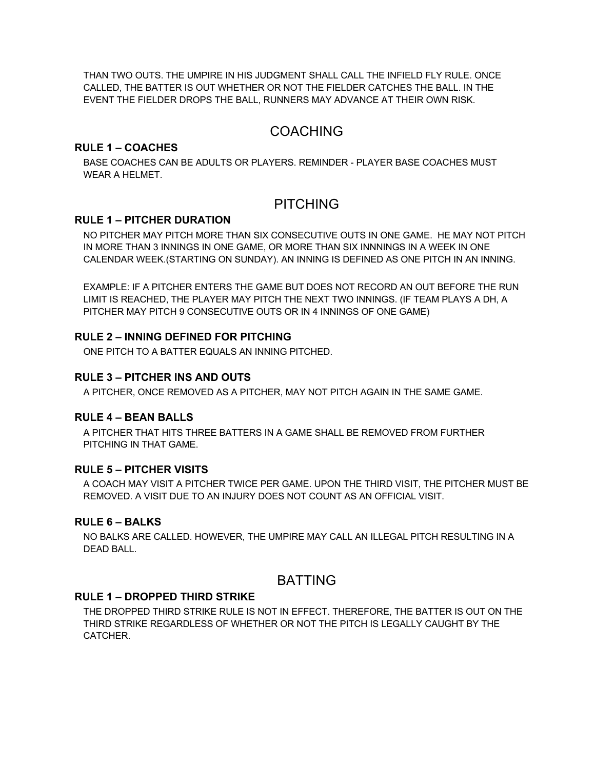THAN TWO OUTS. THE UMPIRE IN HIS JUDGMENT SHALL CALL THE INFIELD FLY RULE. ONCE CALLED, THE BATTER IS OUT WHETHER OR NOT THE FIELDER CATCHES THE BALL. IN THE EVENT THE FIELDER DROPS THE BALL, RUNNERS MAY ADVANCE AT THEIR OWN RISK.

## COACHING

#### **RULE 1 – COACHES**

BASE COACHES CAN BE ADULTS OR PLAYERS. REMINDER - PLAYER BASE COACHES MUST WEAR A HELMET.

## PITCHING

#### **RULE 1 – PITCHER DURATION**

NO PITCHER MAY PITCH MORE THAN SIX CONSECUTIVE OUTS IN ONE GAME. HE MAY NOT PITCH IN MORE THAN 3 INNINGS IN ONE GAME, OR MORE THAN SIX INNNINGS IN A WEEK IN ONE CALENDAR WEEK.(STARTING ON SUNDAY). AN INNING IS DEFINED AS ONE PITCH IN AN INNING.

EXAMPLE: IF A PITCHER ENTERS THE GAME BUT DOES NOT RECORD AN OUT BEFORE THE RUN LIMIT IS REACHED, THE PLAYER MAY PITCH THE NEXT TWO INNINGS. (IF TEAM PLAYS A DH, A PITCHER MAY PITCH 9 CONSECUTIVE OUTS OR IN 4 INNINGS OF ONE GAME)

#### **RULE 2 – INNING DEFINED FOR PITCHING**

ONE PITCH TO A BATTER EQUALS AN INNING PITCHED.

#### **RULE 3 – PITCHER INS AND OUTS**

A PITCHER, ONCE REMOVED AS A PITCHER, MAY NOT PITCH AGAIN IN THE SAME GAME.

#### **RULE 4 – BEAN BALLS**

A PITCHER THAT HITS THREE BATTERS IN A GAME SHALL BE REMOVED FROM FURTHER PITCHING IN THAT GAME.

#### **RULE 5 – PITCHER VISITS**

A COACH MAY VISIT A PITCHER TWICE PER GAME. UPON THE THIRD VISIT, THE PITCHER MUST BE REMOVED. A VISIT DUE TO AN INJURY DOES NOT COUNT AS AN OFFICIAL VISIT.

#### **RULE 6 – BALKS**

NO BALKS ARE CALLED. HOWEVER, THE UMPIRE MAY CALL AN ILLEGAL PITCH RESULTING IN A DEAD BALL.

## BATTING

#### **RULE 1 – DROPPED THIRD STRIKE**

THE DROPPED THIRD STRIKE RULE IS NOT IN EFFECT. THEREFORE, THE BATTER IS OUT ON THE THIRD STRIKE REGARDLESS OF WHETHER OR NOT THE PITCH IS LEGALLY CAUGHT BY THE CATCHER.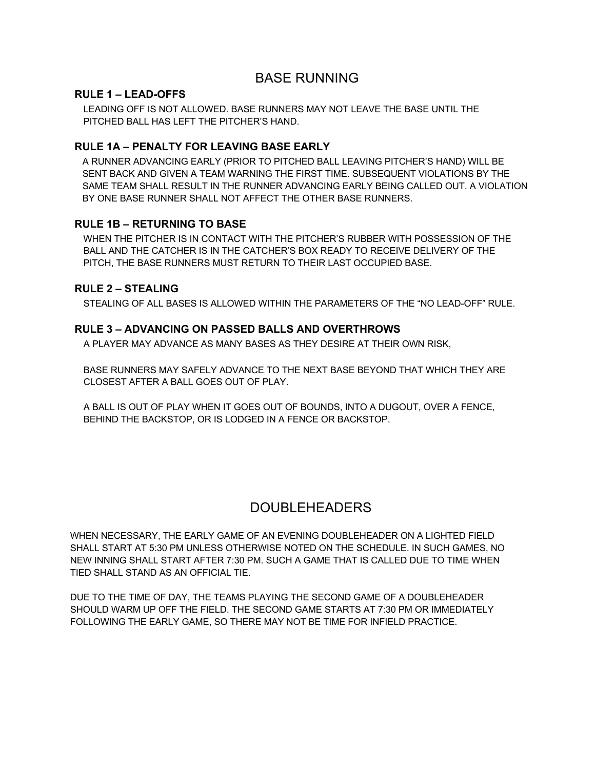## BASE RUNNING

#### **RULE 1 – LEAD-OFFS**

LEADING OFF IS NOT ALLOWED. BASE RUNNERS MAY NOT LEAVE THE BASE UNTIL THE PITCHED BALL HAS LEFT THE PITCHER'S HAND.

#### **RULE 1A – PENALTY FOR LEAVING BASE EARLY**

A RUNNER ADVANCING EARLY (PRIOR TO PITCHED BALL LEAVING PITCHER'S HAND) WILL BE SENT BACK AND GIVEN A TEAM WARNING THE FIRST TIME. SUBSEQUENT VIOLATIONS BY THE SAME TEAM SHALL RESULT IN THE RUNNER ADVANCING EARLY BEING CALLED OUT. A VIOLATION BY ONE BASE RUNNER SHALL NOT AFFECT THE OTHER BASE RUNNERS.

#### **RULE 1B – RETURNING TO BASE**

WHEN THE PITCHER IS IN CONTACT WITH THE PITCHER'S RUBBER WITH POSSESSION OF THE BALL AND THE CATCHER IS IN THE CATCHER'S BOX READY TO RECEIVE DELIVERY OF THE PITCH, THE BASE RUNNERS MUST RETURN TO THEIR LAST OCCUPIED BASE.

#### **RULE 2 – STEALING**

STEALING OF ALL BASES IS ALLOWED WITHIN THE PARAMETERS OF THE "NO LEAD-OFF" RULE.

#### **RULE 3 – ADVANCING ON PASSED BALLS AND OVERTHROWS**

A PLAYER MAY ADVANCE AS MANY BASES AS THEY DESIRE AT THEIR OWN RISK,

BASE RUNNERS MAY SAFELY ADVANCE TO THE NEXT BASE BEYOND THAT WHICH THEY ARE CLOSEST AFTER A BALL GOES OUT OF PLAY.

A BALL IS OUT OF PLAY WHEN IT GOES OUT OF BOUNDS, INTO A DUGOUT, OVER A FENCE, BEHIND THE BACKSTOP, OR IS LODGED IN A FENCE OR BACKSTOP.

## DOUBLEHEADERS

WHEN NECESSARY, THE EARLY GAME OF AN EVENING DOUBLEHEADER ON A LIGHTED FIELD SHALL START AT 5:30 PM UNLESS OTHERWISE NOTED ON THE SCHEDULE. IN SUCH GAMES, NO NEW INNING SHALL START AFTER 7:30 PM. SUCH A GAME THAT IS CALLED DUE TO TIME WHEN TIED SHALL STAND AS AN OFFICIAL TIE.

DUE TO THE TIME OF DAY, THE TEAMS PLAYING THE SECOND GAME OF A DOUBLEHEADER SHOULD WARM UP OFF THE FIELD. THE SECOND GAME STARTS AT 7:30 PM OR IMMEDIATELY FOLLOWING THE EARLY GAME, SO THERE MAY NOT BE TIME FOR INFIELD PRACTICE.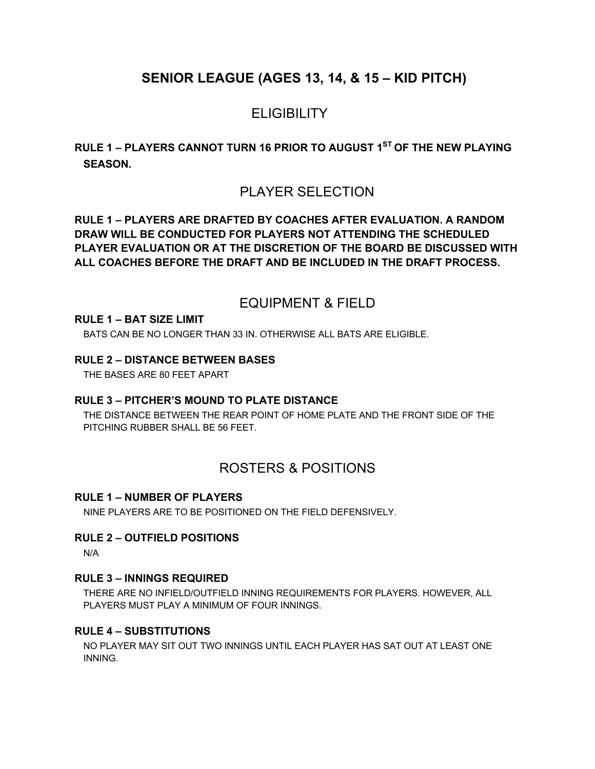# **SENIOR LEAGUE (AGES 13, 14, & 15 – KID PITCH)**

# **ELIGIBILITY**

**RULE 1 – PLAYERS CANNOT TURN 16 PRIOR TO AUGUST 1ST OF THE NEW PLAYING SEASON.** 

## PLAYER SELECTION

**RULE 1 – PLAYERS ARE DRAFTED BY COACHES AFTER EVALUATION. A RANDOM DRAW WILL BE CONDUCTED FOR PLAYERS NOT ATTENDING THE SCHEDULED PLAYER EVALUATION OR AT THE DISCRETION OF THE BOARD BE DISCUSSED WITH ALL COACHES BEFORE THE DRAFT AND BE INCLUDED IN THE DRAFT PROCESS.** 

## EQUIPMENT & FIELD

#### **RULE 1 – BAT SIZE LIMIT**

BATS CAN BE NO LONGER THAN 33 IN. OTHERWISE ALL BATS ARE ELIGIBLE.

#### **RULE 2 – DISTANCE BETWEEN BASES**

THE BASES ARE 80 FEET APART

#### **RULE 3 – PITCHER'S MOUND TO PLATE DISTANCE**

THE DISTANCE BETWEEN THE REAR POINT OF HOME PLATE AND THE FRONT SIDE OF THE PITCHING RUBBER SHALL BE 56 FEET.

## ROSTERS & POSITIONS

#### **RULE 1 – NUMBER OF PLAYERS**

NINE PLAYERS ARE TO BE POSITIONED ON THE FIELD DEFENSIVELY.

#### **RULE 2 – OUTFIELD POSITIONS**

N/A

#### **RULE 3 – INNINGS REQUIRED**

THERE ARE NO INFIELD/OUTFIELD INNING REQUIREMENTS FOR PLAYERS. HOWEVER, ALL PLAYERS MUST PLAY A MINIMUM OF FOUR INNINGS.

#### **RULE 4 – SUBSTITUTIONS**

NO PLAYER MAY SIT OUT TWO INNINGS UNTIL EACH PLAYER HAS SAT OUT AT LEAST ONE INNING.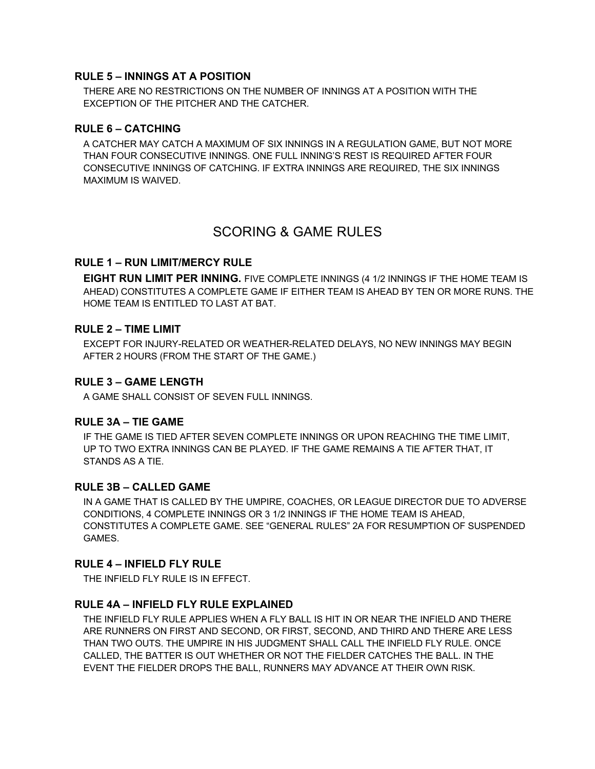#### **RULE 5 – INNINGS AT A POSITION**

THERE ARE NO RESTRICTIONS ON THE NUMBER OF INNINGS AT A POSITION WITH THE EXCEPTION OF THE PITCHER AND THE CATCHER.

#### **RULE 6 – CATCHING**

A CATCHER MAY CATCH A MAXIMUM OF SIX INNINGS IN A REGULATION GAME, BUT NOT MORE THAN FOUR CONSECUTIVE INNINGS. ONE FULL INNING'S REST IS REQUIRED AFTER FOUR CONSECUTIVE INNINGS OF CATCHING. IF EXTRA INNINGS ARE REQUIRED, THE SIX INNINGS MAXIMUM IS WAIVED.

## SCORING & GAME RULES

#### **RULE 1 – RUN LIMIT/MERCY RULE**

**EIGHT RUN LIMIT PER INNING.** FIVE COMPLETE INNINGS (4 1/2 INNINGS IF THE HOME TEAM IS AHEAD) CONSTITUTES A COMPLETE GAME IF EITHER TEAM IS AHEAD BY TEN OR MORE RUNS. THE HOME TEAM IS ENTITLED TO LAST AT BAT.

#### **RULE 2 – TIME LIMIT**

EXCEPT FOR INJURY-RELATED OR WEATHER-RELATED DELAYS, NO NEW INNINGS MAY BEGIN AFTER 2 HOURS (FROM THE START OF THE GAME.)

#### **RULE 3 – GAME LENGTH**

A GAME SHALL CONSIST OF SEVEN FULL INNINGS.

#### **RULE 3A – TIE GAME**

IF THE GAME IS TIED AFTER SEVEN COMPLETE INNINGS OR UPON REACHING THE TIME LIMIT, UP TO TWO EXTRA INNINGS CAN BE PLAYED. IF THE GAME REMAINS A TIE AFTER THAT, IT STANDS AS A TIE.

#### **RULE 3B – CALLED GAME**

IN A GAME THAT IS CALLED BY THE UMPIRE, COACHES, OR LEAGUE DIRECTOR DUE TO ADVERSE CONDITIONS, 4 COMPLETE INNINGS OR 3 1/2 INNINGS IF THE HOME TEAM IS AHEAD, CONSTITUTES A COMPLETE GAME. SEE "GENERAL RULES" 2A FOR RESUMPTION OF SUSPENDED GAMES.

#### **RULE 4 – INFIELD FLY RULE**

THE INFIELD FLY RULE IS IN EFFECT.

#### **RULE 4A – INFIELD FLY RULE EXPLAINED**

THE INFIELD FLY RULE APPLIES WHEN A FLY BALL IS HIT IN OR NEAR THE INFIELD AND THERE ARE RUNNERS ON FIRST AND SECOND, OR FIRST, SECOND, AND THIRD AND THERE ARE LESS THAN TWO OUTS. THE UMPIRE IN HIS JUDGMENT SHALL CALL THE INFIELD FLY RULE. ONCE CALLED, THE BATTER IS OUT WHETHER OR NOT THE FIELDER CATCHES THE BALL. IN THE EVENT THE FIELDER DROPS THE BALL, RUNNERS MAY ADVANCE AT THEIR OWN RISK.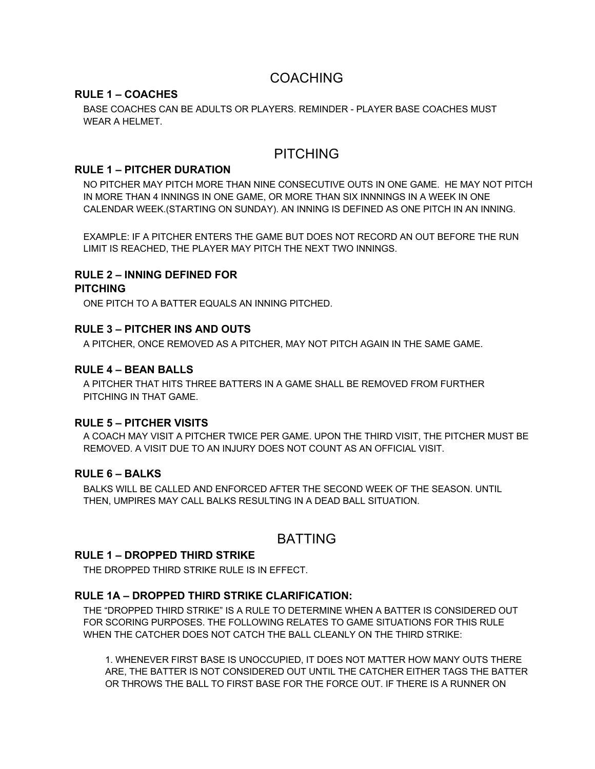## COACHING

#### **RULE 1 – COACHES**

BASE COACHES CAN BE ADULTS OR PLAYERS. REMINDER - PLAYER BASE COACHES MUST WEAR A HELMET.

## PITCHING

#### **RULE 1 – PITCHER DURATION**

NO PITCHER MAY PITCH MORE THAN NINE CONSECUTIVE OUTS IN ONE GAME. HE MAY NOT PITCH IN MORE THAN 4 INNINGS IN ONE GAME, OR MORE THAN SIX INNNINGS IN A WEEK IN ONE CALENDAR WEEK.(STARTING ON SUNDAY). AN INNING IS DEFINED AS ONE PITCH IN AN INNING.

EXAMPLE: IF A PITCHER ENTERS THE GAME BUT DOES NOT RECORD AN OUT BEFORE THE RUN LIMIT IS REACHED, THE PLAYER MAY PITCH THE NEXT TWO INNINGS.

#### **RULE 2 – INNING DEFINED FOR**

#### **PITCHING**

ONE PITCH TO A BATTER EQUALS AN INNING PITCHED.

#### **RULE 3 – PITCHER INS AND OUTS**

A PITCHER, ONCE REMOVED AS A PITCHER, MAY NOT PITCH AGAIN IN THE SAME GAME.

#### **RULE 4 – BEAN BALLS**

A PITCHER THAT HITS THREE BATTERS IN A GAME SHALL BE REMOVED FROM FURTHER PITCHING IN THAT GAME.

#### **RULE 5 – PITCHER VISITS**

A COACH MAY VISIT A PITCHER TWICE PER GAME. UPON THE THIRD VISIT, THE PITCHER MUST BE REMOVED. A VISIT DUE TO AN INJURY DOES NOT COUNT AS AN OFFICIAL VISIT.

#### **RULE 6 – BALKS**

BALKS WILL BE CALLED AND ENFORCED AFTER THE SECOND WEEK OF THE SEASON. UNTIL THEN, UMPIRES MAY CALL BALKS RESULTING IN A DEAD BALL SITUATION.

### BATTING

#### **RULE 1 – DROPPED THIRD STRIKE**

THE DROPPED THIRD STRIKE RULE IS IN EFFECT.

#### **RULE 1A – DROPPED THIRD STRIKE CLARIFICATION:**

THE "DROPPED THIRD STRIKE" IS A RULE TO DETERMINE WHEN A BATTER IS CONSIDERED OUT FOR SCORING PURPOSES. THE FOLLOWING RELATES TO GAME SITUATIONS FOR THIS RULE WHEN THE CATCHER DOES NOT CATCH THE BALL CLEANLY ON THE THIRD STRIKE:

1. WHENEVER FIRST BASE IS UNOCCUPIED, IT DOES NOT MATTER HOW MANY OUTS THERE ARE, THE BATTER IS NOT CONSIDERED OUT UNTIL THE CATCHER EITHER TAGS THE BATTER OR THROWS THE BALL TO FIRST BASE FOR THE FORCE OUT. IF THERE IS A RUNNER ON